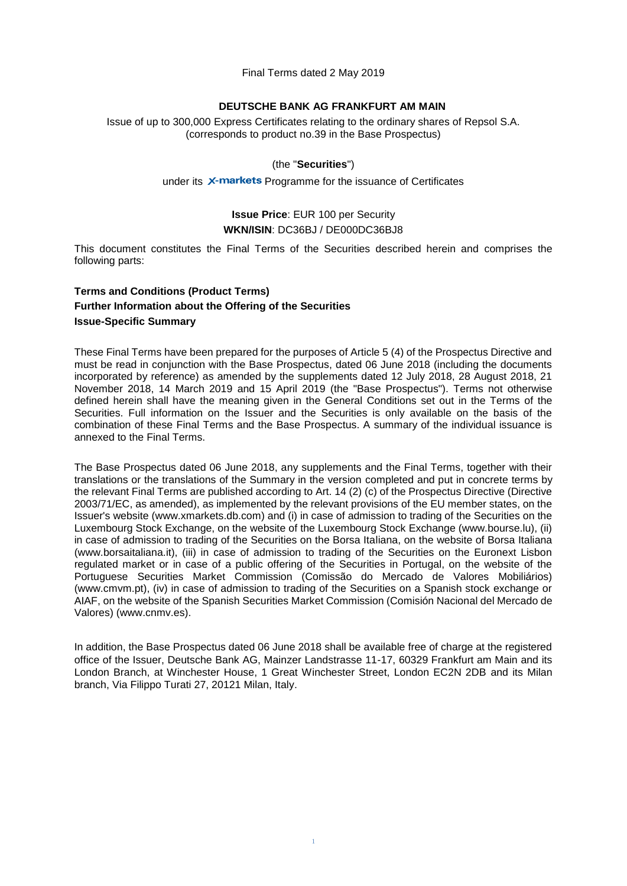Final Terms dated 2 May 2019

#### **DEUTSCHE BANK AG FRANKFURT AM MAIN**

Issue of up to 300,000 Express Certificates relating to the ordinary shares of Repsol S.A. (corresponds to product no.39 in the Base Prospectus)

#### (the "**Securities**")

under its X-markets Programme for the issuance of Certificates

## **Issue Price**: EUR 100 per Security **WKN/ISIN**: DC36BJ / DE000DC36BJ8

This document constitutes the Final Terms of the Securities described herein and comprises the following parts:

### **Terms and Conditions (Product Terms) Further Information about the Offering of the Securities Issue-Specific Summary**

These Final Terms have been prepared for the purposes of Article 5 (4) of the Prospectus Directive and must be read in conjunction with the Base Prospectus, dated 06 June 2018 (including the documents incorporated by reference) as amended by the supplements dated 12 July 2018, 28 August 2018, 21 November 2018, 14 March 2019 and 15 April 2019 (the "Base Prospectus"). Terms not otherwise defined herein shall have the meaning given in the General Conditions set out in the Terms of the Securities. Full information on the Issuer and the Securities is only available on the basis of the combination of these Final Terms and the Base Prospectus. A summary of the individual issuance is annexed to the Final Terms.

The Base Prospectus dated 06 June 2018, any supplements and the Final Terms, together with their translations or the translations of the Summary in the version completed and put in concrete terms by the relevant Final Terms are published according to Art. 14 (2) (c) of the Prospectus Directive (Directive 2003/71/EC, as amended), as implemented by the relevant provisions of the EU member states, on the Issuer's website (www.xmarkets.db.com) and (i) in case of admission to trading of the Securities on the Luxembourg Stock Exchange, on the website of the Luxembourg Stock Exchange (www.bourse.lu), (ii) in case of admission to trading of the Securities on the Borsa Italiana, on the website of Borsa Italiana (www.borsaitaliana.it), (iii) in case of admission to trading of the Securities on the Euronext Lisbon regulated market or in case of a public offering of the Securities in Portugal, on the website of the Portuguese Securities Market Commission (Comissão do Mercado de Valores Mobiliários) (www.cmvm.pt), (iv) in case of admission to trading of the Securities on a Spanish stock exchange or AIAF, on the website of the Spanish Securities Market Commission (Comisión Nacional del Mercado de Valores) (www.cnmv.es).

In addition, the Base Prospectus dated 06 June 2018 shall be available free of charge at the registered office of the Issuer, Deutsche Bank AG, Mainzer Landstrasse 11-17, 60329 Frankfurt am Main and its London Branch, at Winchester House, 1 Great Winchester Street, London EC2N 2DB and its Milan branch, Via Filippo Turati 27, 20121 Milan, Italy.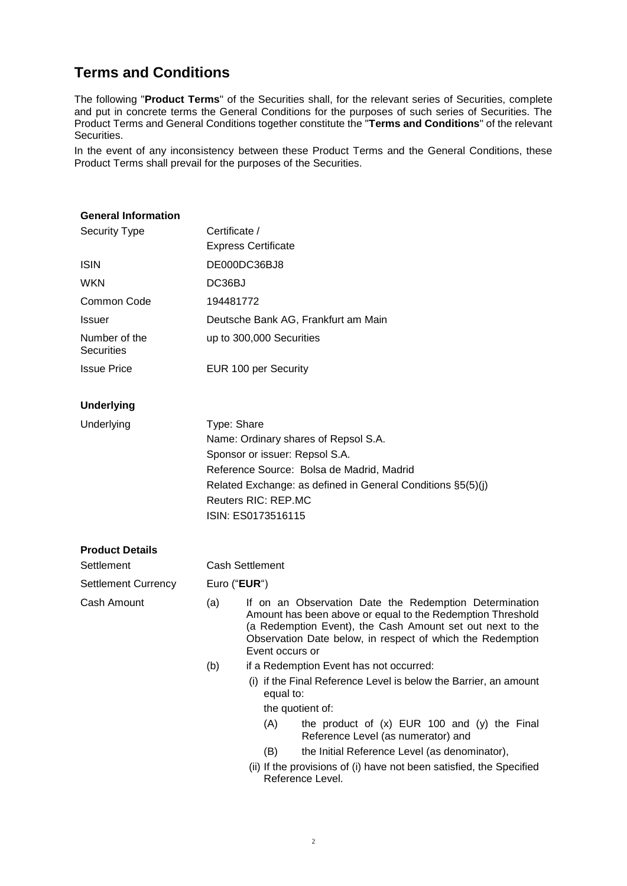# **Terms and Conditions**

The following "**Product Terms**" of the Securities shall, for the relevant series of Securities, complete and put in concrete terms the General Conditions for the purposes of such series of Securities. The Product Terms and General Conditions together constitute the "**Terms and Conditions**" of the relevant Securities.

In the event of any inconsistency between these Product Terms and the General Conditions, these Product Terms shall prevail for the purposes of the Securities.

| <b>General Information</b>         |                                                             |                                                                                                                                                                                                                                                                    |  |  |  |
|------------------------------------|-------------------------------------------------------------|--------------------------------------------------------------------------------------------------------------------------------------------------------------------------------------------------------------------------------------------------------------------|--|--|--|
| <b>Security Type</b>               | Certificate /                                               |                                                                                                                                                                                                                                                                    |  |  |  |
|                                    |                                                             | <b>Express Certificate</b>                                                                                                                                                                                                                                         |  |  |  |
| <b>ISIN</b>                        |                                                             | DE000DC36BJ8                                                                                                                                                                                                                                                       |  |  |  |
| WKN                                | DC36BJ                                                      |                                                                                                                                                                                                                                                                    |  |  |  |
| Common Code                        | 194481772                                                   |                                                                                                                                                                                                                                                                    |  |  |  |
| <b>Issuer</b>                      |                                                             | Deutsche Bank AG, Frankfurt am Main                                                                                                                                                                                                                                |  |  |  |
| Number of the<br><b>Securities</b> |                                                             | up to 300,000 Securities                                                                                                                                                                                                                                           |  |  |  |
| <b>Issue Price</b>                 |                                                             | EUR 100 per Security                                                                                                                                                                                                                                               |  |  |  |
| <b>Underlying</b>                  |                                                             |                                                                                                                                                                                                                                                                    |  |  |  |
| Underlying                         | Type: Share                                                 |                                                                                                                                                                                                                                                                    |  |  |  |
|                                    | Name: Ordinary shares of Repsol S.A.                        |                                                                                                                                                                                                                                                                    |  |  |  |
|                                    | Sponsor or issuer: Repsol S.A.                              |                                                                                                                                                                                                                                                                    |  |  |  |
|                                    | Reference Source: Bolsa de Madrid, Madrid                   |                                                                                                                                                                                                                                                                    |  |  |  |
|                                    | Related Exchange: as defined in General Conditions §5(5)(j) |                                                                                                                                                                                                                                                                    |  |  |  |
|                                    | <b>Reuters RIC: REP.MC</b><br>ISIN: ES0173516115            |                                                                                                                                                                                                                                                                    |  |  |  |
|                                    |                                                             |                                                                                                                                                                                                                                                                    |  |  |  |
| <b>Product Details</b>             |                                                             |                                                                                                                                                                                                                                                                    |  |  |  |
| Settlement                         | <b>Cash Settlement</b>                                      |                                                                                                                                                                                                                                                                    |  |  |  |
| <b>Settlement Currency</b>         | Euro ("EUR")                                                |                                                                                                                                                                                                                                                                    |  |  |  |
| Cash Amount                        | (a)                                                         | If on an Observation Date the Redemption Determination<br>Amount has been above or equal to the Redemption Threshold<br>(a Redemption Event), the Cash Amount set out next to the<br>Observation Date below, in respect of which the Redemption<br>Event occurs or |  |  |  |
|                                    | (b)                                                         | if a Redemption Event has not occurred:                                                                                                                                                                                                                            |  |  |  |
|                                    |                                                             | (i) if the Final Reference Level is below the Barrier, an amount<br>equal to:                                                                                                                                                                                      |  |  |  |
|                                    |                                                             | the quotient of:                                                                                                                                                                                                                                                   |  |  |  |
|                                    |                                                             | (A)<br>the product of $(x)$ EUR 100 and $(y)$ the Final<br>Reference Level (as numerator) and                                                                                                                                                                      |  |  |  |
|                                    |                                                             | the Initial Reference Level (as denominator),<br>(B)                                                                                                                                                                                                               |  |  |  |
|                                    |                                                             | (ii) If the provisions of (i) have not been satisfied, the Specified<br>Reference Level.                                                                                                                                                                           |  |  |  |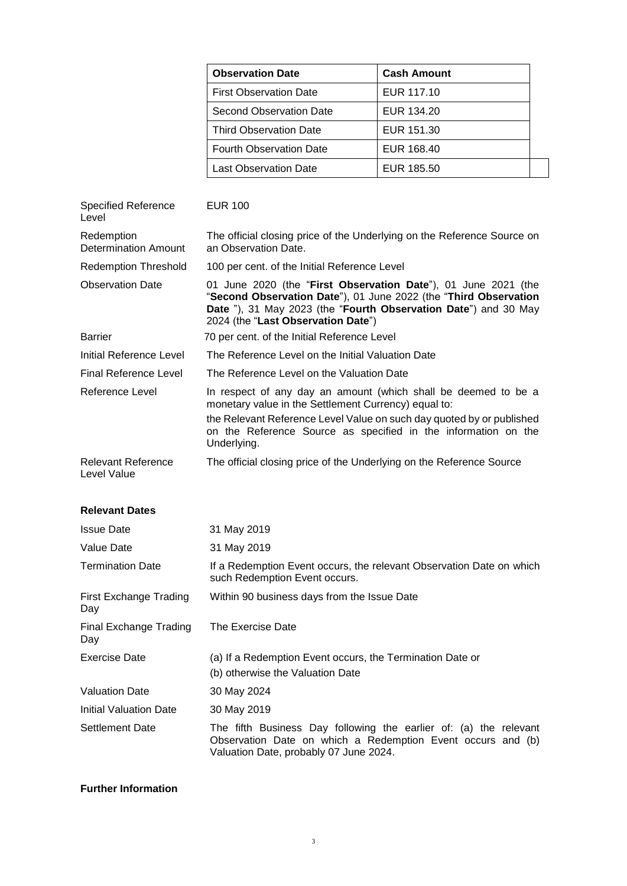|                                           | <b>Observation Date</b>                                                                                                                                                                                                                                                          | <b>Cash Amount</b> |  |
|-------------------------------------------|----------------------------------------------------------------------------------------------------------------------------------------------------------------------------------------------------------------------------------------------------------------------------------|--------------------|--|
|                                           | <b>First Observation Date</b>                                                                                                                                                                                                                                                    | EUR 117.10         |  |
|                                           | <b>Second Observation Date</b>                                                                                                                                                                                                                                                   | EUR 134.20         |  |
|                                           | <b>Third Observation Date</b>                                                                                                                                                                                                                                                    | EUR 151.30         |  |
|                                           | <b>Fourth Observation Date</b>                                                                                                                                                                                                                                                   | EUR 168.40         |  |
|                                           | <b>Last Observation Date</b>                                                                                                                                                                                                                                                     | EUR 185.50         |  |
| <b>Specified Reference</b><br>Level       | <b>EUR 100</b>                                                                                                                                                                                                                                                                   |                    |  |
| Redemption<br><b>Determination Amount</b> | The official closing price of the Underlying on the Reference Source on<br>an Observation Date.                                                                                                                                                                                  |                    |  |
| <b>Redemption Threshold</b>               | 100 per cent. of the Initial Reference Level                                                                                                                                                                                                                                     |                    |  |
| <b>Observation Date</b>                   | 01 June 2020 (the "First Observation Date"), 01 June 2021 (the<br>"Second Observation Date"), 01 June 2022 (the "Third Observation<br>Date "), 31 May 2023 (the "Fourth Observation Date") and 30 May<br>2024 (the "Last Observation Date")                                      |                    |  |
| <b>Barrier</b>                            | 70 per cent. of the Initial Reference Level                                                                                                                                                                                                                                      |                    |  |
| Initial Reference Level                   | The Reference Level on the Initial Valuation Date                                                                                                                                                                                                                                |                    |  |
| <b>Final Reference Level</b>              | The Reference Level on the Valuation Date                                                                                                                                                                                                                                        |                    |  |
| <b>Reference Level</b>                    | In respect of any day an amount (which shall be deemed to be a<br>monetary value in the Settlement Currency) equal to:<br>the Relevant Reference Level Value on such day quoted by or published<br>on the Reference Source as specified in the information on the<br>Underlying. |                    |  |
| <b>Relevant Reference</b><br>Level Value  | The official closing price of the Underlying on the Reference Source                                                                                                                                                                                                             |                    |  |
| <b>Relevant Dates</b>                     |                                                                                                                                                                                                                                                                                  |                    |  |
| <b>Issue Date</b>                         | 31 May 2019                                                                                                                                                                                                                                                                      |                    |  |
| Value Date                                | 31 May 2019                                                                                                                                                                                                                                                                      |                    |  |
| <b>Termination Date</b>                   | If a Redemption Event occurs, the relevant Observation Date on which<br>such Redemption Event occurs.                                                                                                                                                                            |                    |  |
| <b>First Exchange Trading</b><br>Day      | Within 90 business days from the Issue Date                                                                                                                                                                                                                                      |                    |  |
| Final Exchange Trading<br>Day             | The Exercise Date                                                                                                                                                                                                                                                                |                    |  |
| <b>Exercise Date</b>                      | (a) If a Redemption Event occurs, the Termination Date or<br>(b) otherwise the Valuation Date                                                                                                                                                                                    |                    |  |
| <b>Valuation Date</b>                     | 30 May 2024                                                                                                                                                                                                                                                                      |                    |  |
| Initial Valuation Date                    | 30 May 2019                                                                                                                                                                                                                                                                      |                    |  |
| <b>Settlement Date</b>                    | The fifth Business Day following the earlier of: (a) the relevant<br>Observation Date on which a Redemption Event occurs and (b)<br>Valuation Date, probably 07 June 2024.                                                                                                       |                    |  |

#### **Further Information**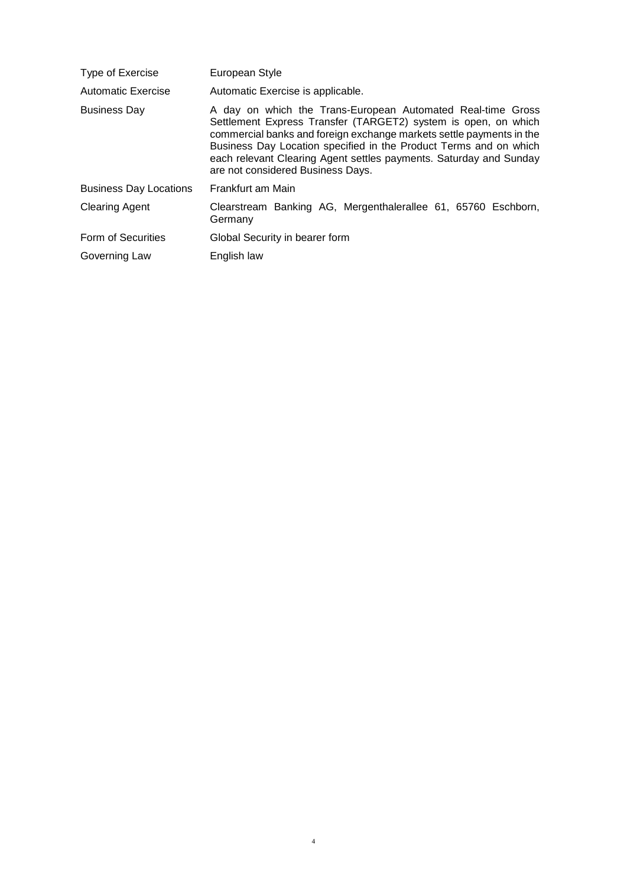| Type of Exercise              | European Style                                                                                                                                                                                                                                                                                                                                                                        |
|-------------------------------|---------------------------------------------------------------------------------------------------------------------------------------------------------------------------------------------------------------------------------------------------------------------------------------------------------------------------------------------------------------------------------------|
| Automatic Exercise            | Automatic Exercise is applicable.                                                                                                                                                                                                                                                                                                                                                     |
| <b>Business Day</b>           | A day on which the Trans-European Automated Real-time Gross<br>Settlement Express Transfer (TARGET2) system is open, on which<br>commercial banks and foreign exchange markets settle payments in the<br>Business Day Location specified in the Product Terms and on which<br>each relevant Clearing Agent settles payments. Saturday and Sunday<br>are not considered Business Days. |
| <b>Business Day Locations</b> | Frankfurt am Main                                                                                                                                                                                                                                                                                                                                                                     |
| <b>Clearing Agent</b>         | Clearstream Banking AG, Mergenthalerallee 61, 65760 Eschborn,<br>Germany                                                                                                                                                                                                                                                                                                              |
| Form of Securities            | Global Security in bearer form                                                                                                                                                                                                                                                                                                                                                        |
| Governing Law                 | English law                                                                                                                                                                                                                                                                                                                                                                           |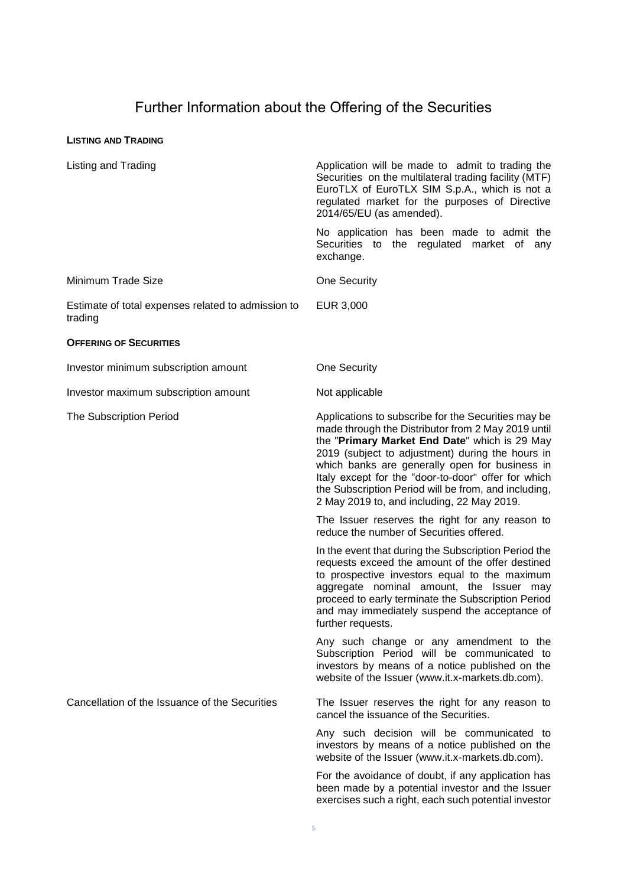# Further Information about the Offering of the Securities

#### **LISTING AND TRADING**

| Listing and Trading                                           | Application will be made to admit to trading the<br>Securities on the multilateral trading facility (MTF)<br>EuroTLX of EuroTLX SIM S.p.A., which is not a<br>regulated market for the purposes of Directive<br>2014/65/EU (as amended).                                                                                                                                                                                      |
|---------------------------------------------------------------|-------------------------------------------------------------------------------------------------------------------------------------------------------------------------------------------------------------------------------------------------------------------------------------------------------------------------------------------------------------------------------------------------------------------------------|
|                                                               | No application has been made to admit the<br>Securities to the regulated market of<br>any<br>exchange.                                                                                                                                                                                                                                                                                                                        |
| Minimum Trade Size                                            | <b>One Security</b>                                                                                                                                                                                                                                                                                                                                                                                                           |
| Estimate of total expenses related to admission to<br>trading | EUR 3,000                                                                                                                                                                                                                                                                                                                                                                                                                     |
| <b>OFFERING OF SECURITIES</b>                                 |                                                                                                                                                                                                                                                                                                                                                                                                                               |
| Investor minimum subscription amount                          | One Security                                                                                                                                                                                                                                                                                                                                                                                                                  |
| Investor maximum subscription amount                          | Not applicable                                                                                                                                                                                                                                                                                                                                                                                                                |
| <b>The Subscription Period</b>                                | Applications to subscribe for the Securities may be<br>made through the Distributor from 2 May 2019 until<br>the "Primary Market End Date" which is 29 May<br>2019 (subject to adjustment) during the hours in<br>which banks are generally open for business in<br>Italy except for the "door-to-door" offer for which<br>the Subscription Period will be from, and including,<br>2 May 2019 to, and including, 22 May 2019. |
|                                                               | The Issuer reserves the right for any reason to<br>reduce the number of Securities offered.                                                                                                                                                                                                                                                                                                                                   |
|                                                               | In the event that during the Subscription Period the<br>requests exceed the amount of the offer destined<br>to prospective investors equal to the maximum<br>aggregate nominal amount, the Issuer may<br>proceed to early terminate the Subscription Period<br>and may immediately suspend the acceptance of<br>further requests.                                                                                             |
|                                                               | Any such change or any amendment to the<br>Subscription Period will be communicated to<br>investors by means of a notice published on the<br>website of the Issuer (www.it.x-markets.db.com).                                                                                                                                                                                                                                 |
| Cancellation of the Issuance of the Securities                | The Issuer reserves the right for any reason to<br>cancel the issuance of the Securities.                                                                                                                                                                                                                                                                                                                                     |
|                                                               | Any such decision will be communicated to<br>investors by means of a notice published on the<br>website of the Issuer (www.it.x-markets.db.com).                                                                                                                                                                                                                                                                              |
|                                                               | For the avoidance of doubt, if any application has<br>been made by a potential investor and the Issuer<br>exercises such a right, each such potential investor                                                                                                                                                                                                                                                                |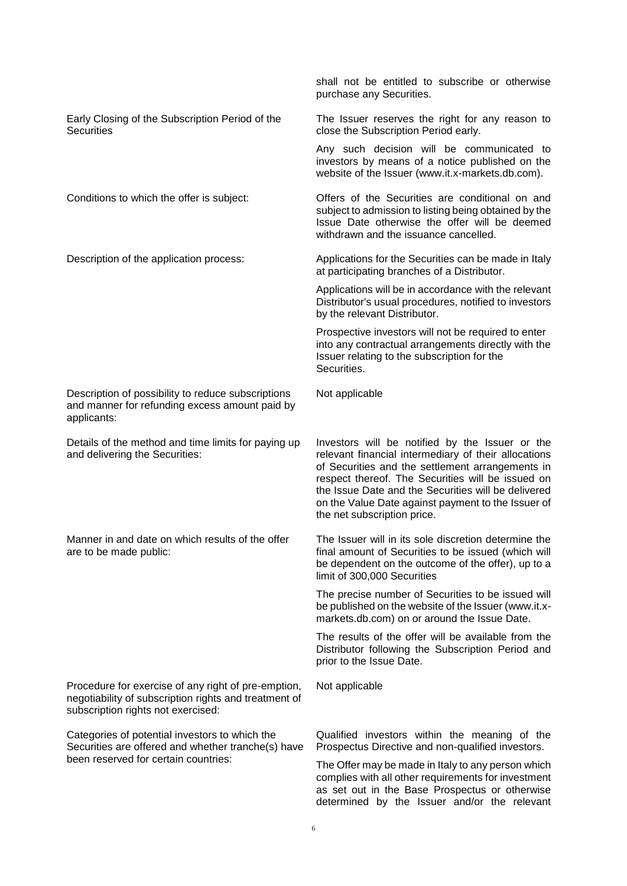|                                                                                                                                                    | shall not be entitled to subscribe or otherwise<br>purchase any Securities.                                                                                                                                                                                                                                                                                  |
|----------------------------------------------------------------------------------------------------------------------------------------------------|--------------------------------------------------------------------------------------------------------------------------------------------------------------------------------------------------------------------------------------------------------------------------------------------------------------------------------------------------------------|
| Early Closing of the Subscription Period of the<br><b>Securities</b>                                                                               | The Issuer reserves the right for any reason to<br>close the Subscription Period early.                                                                                                                                                                                                                                                                      |
|                                                                                                                                                    | Any such decision will be communicated to<br>investors by means of a notice published on the<br>website of the Issuer (www.it.x-markets.db.com).                                                                                                                                                                                                             |
| Conditions to which the offer is subject:                                                                                                          | Offers of the Securities are conditional on and<br>subject to admission to listing being obtained by the<br>Issue Date otherwise the offer will be deemed<br>withdrawn and the issuance cancelled.                                                                                                                                                           |
| Description of the application process:                                                                                                            | Applications for the Securities can be made in Italy<br>at participating branches of a Distributor.                                                                                                                                                                                                                                                          |
|                                                                                                                                                    | Applications will be in accordance with the relevant<br>Distributor's usual procedures, notified to investors<br>by the relevant Distributor.                                                                                                                                                                                                                |
|                                                                                                                                                    | Prospective investors will not be required to enter<br>into any contractual arrangements directly with the<br>Issuer relating to the subscription for the<br>Securities.                                                                                                                                                                                     |
| Description of possibility to reduce subscriptions<br>and manner for refunding excess amount paid by<br>applicants:                                | Not applicable                                                                                                                                                                                                                                                                                                                                               |
| Details of the method and time limits for paying up<br>and delivering the Securities:                                                              | Investors will be notified by the Issuer or the<br>relevant financial intermediary of their allocations<br>of Securities and the settlement arrangements in<br>respect thereof. The Securities will be issued on<br>the Issue Date and the Securities will be delivered<br>on the Value Date against payment to the Issuer of<br>the net subscription price. |
| Manner in and date on which results of the offer<br>are to be made public:                                                                         | The Issuer will in its sole discretion determine the<br>final amount of Securities to be issued (which will<br>be dependent on the outcome of the offer), up to a<br>limit of 300,000 Securities                                                                                                                                                             |
|                                                                                                                                                    | The precise number of Securities to be issued will<br>be published on the website of the Issuer (www.it.x-<br>markets.db.com) on or around the Issue Date.                                                                                                                                                                                                   |
|                                                                                                                                                    | The results of the offer will be available from the<br>Distributor following the Subscription Period and<br>prior to the Issue Date.                                                                                                                                                                                                                         |
| Procedure for exercise of any right of pre-emption,<br>negotiability of subscription rights and treatment of<br>subscription rights not exercised: | Not applicable                                                                                                                                                                                                                                                                                                                                               |
| Categories of potential investors to which the<br>Securities are offered and whether tranche(s) have                                               | Qualified investors within the meaning of the<br>Prospectus Directive and non-qualified investors.                                                                                                                                                                                                                                                           |
| been reserved for certain countries:                                                                                                               | The Offer may be made in Italy to any person which<br>complies with all other requirements for investment<br>as set out in the Base Prospectus or otherwise<br>determined by the Issuer and/or the relevant                                                                                                                                                  |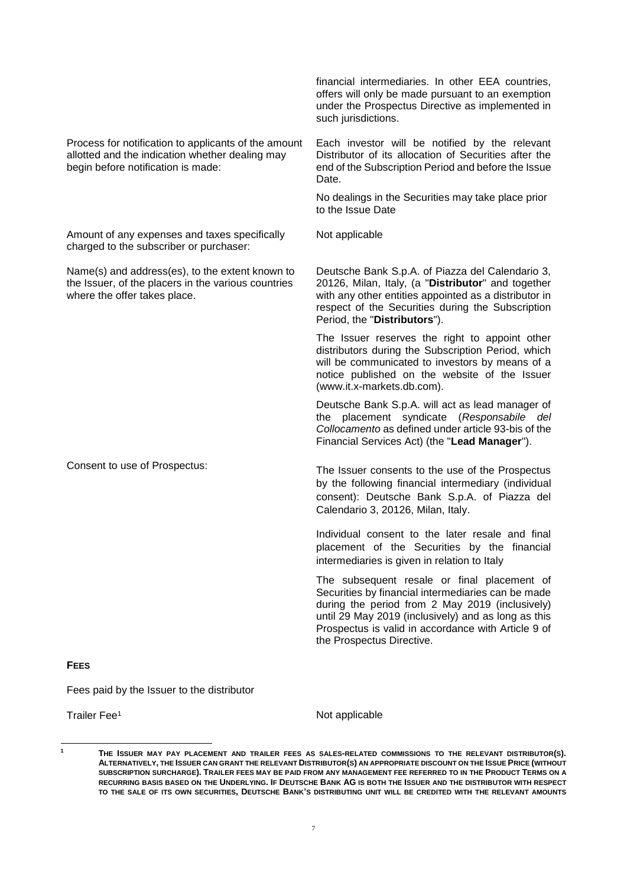|                                                                                                                                               | offers will only be made pursuant to an exemption<br>under the Prospectus Directive as implemented in<br>such jurisdictions.                                                                                                                                                                    |
|-----------------------------------------------------------------------------------------------------------------------------------------------|-------------------------------------------------------------------------------------------------------------------------------------------------------------------------------------------------------------------------------------------------------------------------------------------------|
| Process for notification to applicants of the amount<br>allotted and the indication whether dealing may<br>begin before notification is made: | Each investor will be notified by the relevant<br>Distributor of its allocation of Securities after the<br>end of the Subscription Period and before the Issue<br>Date.                                                                                                                         |
|                                                                                                                                               | No dealings in the Securities may take place prior<br>to the Issue Date                                                                                                                                                                                                                         |
| Amount of any expenses and taxes specifically<br>charged to the subscriber or purchaser:                                                      | Not applicable                                                                                                                                                                                                                                                                                  |
| Name(s) and address(es), to the extent known to<br>the Issuer, of the placers in the various countries<br>where the offer takes place.        | Deutsche Bank S.p.A. of Piazza del Calendario 3,<br>20126, Milan, Italy, (a "Distributor" and together<br>with any other entities appointed as a distributor in<br>respect of the Securities during the Subscription<br>Period, the "Distributors").                                            |
|                                                                                                                                               | The Issuer reserves the right to appoint other<br>distributors during the Subscription Period, which<br>will be communicated to investors by means of a<br>notice published on the website of the Issuer<br>(www.it.x-markets.db.com).                                                          |
|                                                                                                                                               | Deutsche Bank S.p.A. will act as lead manager of<br>the placement syndicate (Responsabile del<br>Collocamento as defined under article 93-bis of the<br>Financial Services Act) (the "Lead Manager").                                                                                           |
| Consent to use of Prospectus:                                                                                                                 | The Issuer consents to the use of the Prospectus<br>by the following financial intermediary (individual<br>consent): Deutsche Bank S.p.A. of Piazza del<br>Calendario 3, 20126, Milan, Italy.                                                                                                   |
|                                                                                                                                               | Individual consent to the later resale and final<br>placement of the Securities by the financial<br>intermediaries is given in relation to Italy                                                                                                                                                |
|                                                                                                                                               | The subsequent resale or final placement of<br>Securities by financial intermediaries can be made<br>during the period from 2 May 2019 (inclusively)<br>until 29 May 2019 (inclusively) and as long as this<br>Prospectus is valid in accordance with Article 9 of<br>the Prospectus Directive. |
| <b>FEES</b>                                                                                                                                   |                                                                                                                                                                                                                                                                                                 |

financial intermediaries. In other EEA countries,

Fees paid by the Issuer to the distributor

 $\overline{1}$ 

Trailer Fee<sup>1</sup> Not applicable

**<sup>1</sup> THE ISSUER MAY PAY PLACEMENT AND TRAILER FEES AS SALES-RELATED COMMISSIONS TO THE RELEVANT DISTRIBUTOR(S).** ALTERNATIVELY, THE ISSUER CAN GRANT THE RELEVANT DISTRIBUTOR(S) AN APPROPRIATE DISCOUNT ON THE ISSUE PRICE (WITHOUT **SUBSCRIPTION SURCHARGE). TRAILER FEES MAY BE PAID FROM ANY MANAGEMENT FEE REFERRED TO IN THE PRODUCT TERMS ON A RECURRING BASIS BASED ON THE UNDERLYING. IF DEUTSCHE BANK AG IS BOTH THE ISSUER AND THE DISTRIBUTOR WITH RESPECT TO THE SALE OF ITS OWN SECURITIES, DEUTSCHE BANK'S DISTRIBUTING UNIT WILL BE CREDITED WITH THE RELEVANT AMOUNTS**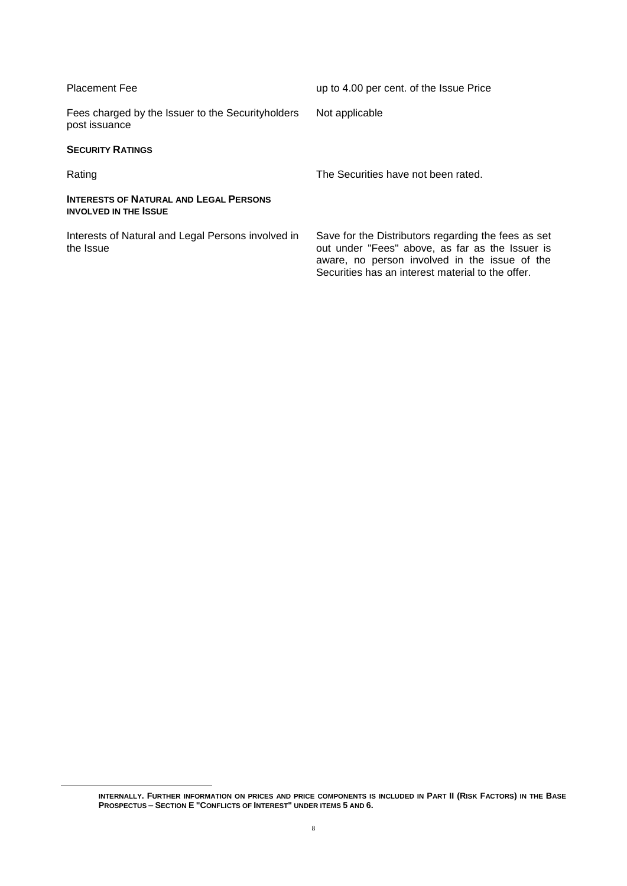| <b>Placement Fee</b>                                                          | up to 4.00 per cent. of the Issue Price                                                                                                                                                                      |
|-------------------------------------------------------------------------------|--------------------------------------------------------------------------------------------------------------------------------------------------------------------------------------------------------------|
| Fees charged by the Issuer to the Security holders<br>post issuance           | Not applicable                                                                                                                                                                                               |
| <b>SECURITY RATINGS</b>                                                       |                                                                                                                                                                                                              |
| Rating                                                                        | The Securities have not been rated.                                                                                                                                                                          |
| <b>INTERESTS OF NATURAL AND LEGAL PERSONS</b><br><b>INVOLVED IN THE ISSUE</b> |                                                                                                                                                                                                              |
| Interests of Natural and Legal Persons involved in<br>the Issue               | Save for the Distributors regarding the fees as set<br>out under "Fees" above, as far as the Issuer is<br>aware, no person involved in the issue of the<br>Securities has an interest material to the offer. |

 $\overline{a}$ 

**INTERNALLY. FURTHER INFORMATION ON PRICES AND PRICE COMPONENTS IS INCLUDED IN PART II (RISK FACTORS) IN THE BASE PROSPECTUS – SECTION E "CONFLICTS OF INTEREST" UNDER ITEMS 5 AND 6.**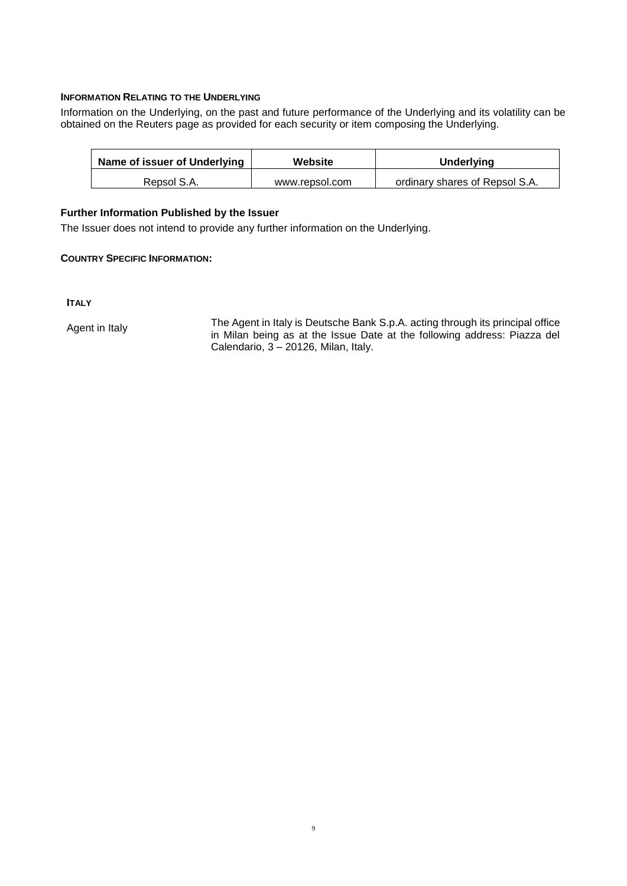#### **INFORMATION RELATING TO THE UNDERLYING**

Information on the Underlying, on the past and future performance of the Underlying and its volatility can be obtained on the Reuters page as provided for each security or item composing the Underlying.

| Name of issuer of Underlying | Website        | <b>Underlying</b>              |
|------------------------------|----------------|--------------------------------|
| Repsol S.A.                  | www.repsol.com | ordinary shares of Repsol S.A. |

#### **Further Information Published by the Issuer**

The Issuer does not intend to provide any further information on the Underlying.

#### **COUNTRY SPECIFIC INFORMATION:**

**ITALY** 

Agent in Italy The Agent in Italy is Deutsche Bank S.p.A. acting through its principal office in Milan being as at the Issue Date at the following address: Piazza del Calendario,  $3 - 20126$ , Milan, Italy.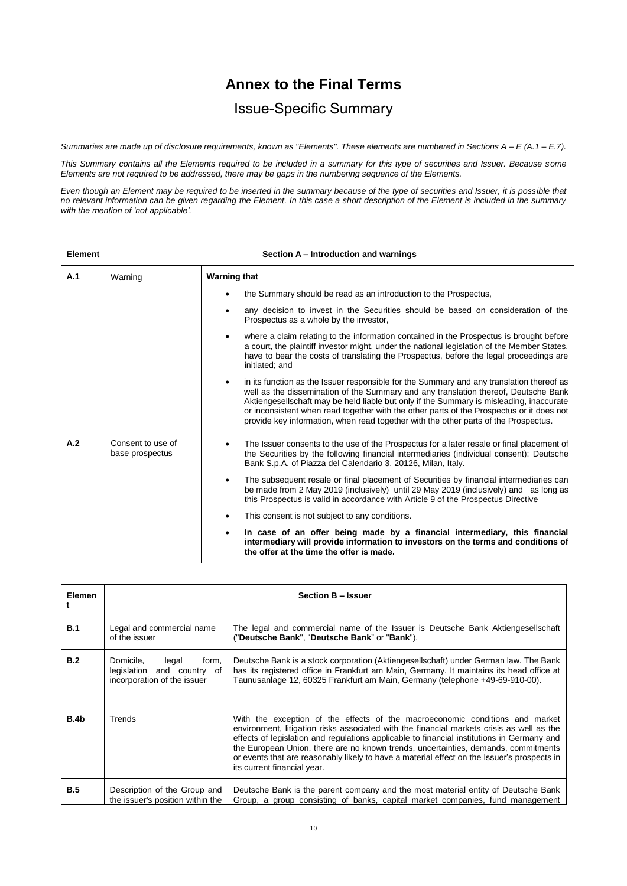## **Annex to the Final Terms**

## Issue-Specific Summary

*Summaries are made up of disclosure requirements, known as "Elements". These elements are numbered in Sections A – E (A.1 – E.7).*

*This Summary contains all the Elements required to be included in a summary for this type of securities and Issuer. Because some Elements are not required to be addressed, there may be gaps in the numbering sequence of the Elements.*

*Even though an Element may be required to be inserted in the summary because of the type of securities and Issuer, it is possible that no relevant information can be given regarding the Element. In this case a short description of the Element is included in the summary with the mention of 'not applicable'.*

| Element | Section A - Introduction and warnings |                                                                                                                                                                                                                                                                                                                                                                                                                                                                            |  |
|---------|---------------------------------------|----------------------------------------------------------------------------------------------------------------------------------------------------------------------------------------------------------------------------------------------------------------------------------------------------------------------------------------------------------------------------------------------------------------------------------------------------------------------------|--|
| A.1     | Warning                               | <b>Warning that</b>                                                                                                                                                                                                                                                                                                                                                                                                                                                        |  |
|         |                                       | the Summary should be read as an introduction to the Prospectus,<br>٠                                                                                                                                                                                                                                                                                                                                                                                                      |  |
|         |                                       | any decision to invest in the Securities should be based on consideration of the<br>٠<br>Prospectus as a whole by the investor,                                                                                                                                                                                                                                                                                                                                            |  |
|         |                                       | where a claim relating to the information contained in the Prospectus is brought before<br>$\bullet$<br>a court, the plaintiff investor might, under the national legislation of the Member States,<br>have to bear the costs of translating the Prospectus, before the legal proceedings are<br>initiated; and                                                                                                                                                            |  |
|         |                                       | in its function as the Issuer responsible for the Summary and any translation thereof as<br>$\bullet$<br>well as the dissemination of the Summary and any translation thereof, Deutsche Bank<br>Aktiengesellschaft may be held liable but only if the Summary is misleading, inaccurate<br>or inconsistent when read together with the other parts of the Prospectus or it does not<br>provide key information, when read together with the other parts of the Prospectus. |  |
| A.2     | Consent to use of<br>base prospectus  | The Issuer consents to the use of the Prospectus for a later resale or final placement of<br>the Securities by the following financial intermediaries (individual consent): Deutsche<br>Bank S.p.A. of Piazza del Calendario 3, 20126, Milan, Italy.                                                                                                                                                                                                                       |  |
|         |                                       | The subsequent resale or final placement of Securities by financial intermediaries can<br>$\bullet$<br>be made from 2 May 2019 (inclusively) until 29 May 2019 (inclusively) and as long as<br>this Prospectus is valid in accordance with Article 9 of the Prospectus Directive                                                                                                                                                                                           |  |
|         |                                       | This consent is not subject to any conditions.<br>$\bullet$                                                                                                                                                                                                                                                                                                                                                                                                                |  |
|         |                                       | In case of an offer being made by a financial intermediary, this financial<br>$\bullet$<br>intermediary will provide information to investors on the terms and conditions of<br>the offer at the time the offer is made.                                                                                                                                                                                                                                                   |  |

| <b>Elemen</b> | Section B - Issuer                                                                       |                                                                                                                                                                                                                                                                                                                                                                                                                                                                                             |  |
|---------------|------------------------------------------------------------------------------------------|---------------------------------------------------------------------------------------------------------------------------------------------------------------------------------------------------------------------------------------------------------------------------------------------------------------------------------------------------------------------------------------------------------------------------------------------------------------------------------------------|--|
| B.1           | Legal and commercial name<br>of the issuer                                               | The legal and commercial name of the Issuer is Deutsche Bank Aktiengesellschaft<br>("Deutsche Bank", "Deutsche Bank" or "Bank").                                                                                                                                                                                                                                                                                                                                                            |  |
| B.2           | Domicile,<br>legal<br>form,<br>legislation and country of<br>incorporation of the issuer | Deutsche Bank is a stock corporation (Aktiengesellschaft) under German law. The Bank<br>has its registered office in Frankfurt am Main, Germany. It maintains its head office at<br>Taunusanlage 12, 60325 Frankfurt am Main, Germany (telephone +49-69-910-00).                                                                                                                                                                                                                            |  |
| B.4b          | Trends                                                                                   | With the exception of the effects of the macroeconomic conditions and market<br>environment, litigation risks associated with the financial markets crisis as well as the<br>effects of legislation and regulations applicable to financial institutions in Germany and<br>the European Union, there are no known trends, uncertainties, demands, commitments<br>or events that are reasonably likely to have a material effect on the Issuer's prospects in<br>its current financial year. |  |
| <b>B.5</b>    | Description of the Group and<br>the issuer's position within the                         | Deutsche Bank is the parent company and the most material entity of Deutsche Bank<br>Group, a group consisting of banks, capital market companies, fund management                                                                                                                                                                                                                                                                                                                          |  |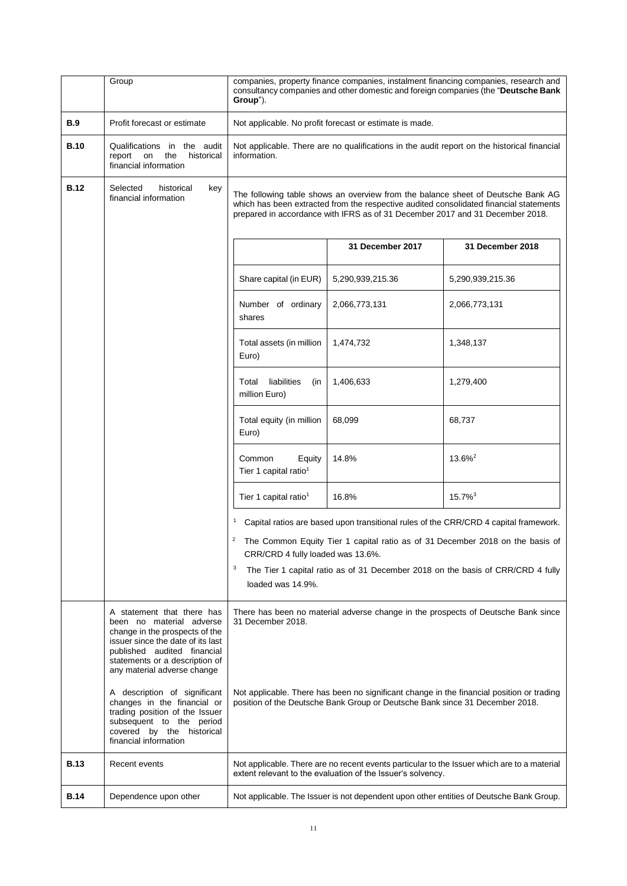|             | Group                                                                                                                                                                                                                         | companies, property finance companies, instalment financing companies, research and<br>consultancy companies and other domestic and foreign companies (the "Deutsche Bank<br>Group"). |                                                                               |                                                                                                                                                                            |
|-------------|-------------------------------------------------------------------------------------------------------------------------------------------------------------------------------------------------------------------------------|---------------------------------------------------------------------------------------------------------------------------------------------------------------------------------------|-------------------------------------------------------------------------------|----------------------------------------------------------------------------------------------------------------------------------------------------------------------------|
| <b>B.9</b>  | Profit forecast or estimate                                                                                                                                                                                                   | Not applicable. No profit forecast or estimate is made.                                                                                                                               |                                                                               |                                                                                                                                                                            |
| <b>B.10</b> | Qualifications in the audit<br>report<br>on<br>the<br>historical<br>financial information                                                                                                                                     | Not applicable. There are no qualifications in the audit report on the historical financial<br>information.                                                                           |                                                                               |                                                                                                                                                                            |
| <b>B.12</b> | Selected<br>historical<br>key<br>financial information                                                                                                                                                                        |                                                                                                                                                                                       | prepared in accordance with IFRS as of 31 December 2017 and 31 December 2018. | The following table shows an overview from the balance sheet of Deutsche Bank AG<br>which has been extracted from the respective audited consolidated financial statements |
|             |                                                                                                                                                                                                                               |                                                                                                                                                                                       | 31 December 2017                                                              | 31 December 2018                                                                                                                                                           |
|             |                                                                                                                                                                                                                               | Share capital (in EUR)                                                                                                                                                                | 5,290,939,215.36                                                              | 5,290,939,215.36                                                                                                                                                           |
|             |                                                                                                                                                                                                                               | Number of ordinary<br>shares                                                                                                                                                          | 2,066,773,131                                                                 | 2,066,773,131                                                                                                                                                              |
|             |                                                                                                                                                                                                                               | Total assets (in million<br>Euro)                                                                                                                                                     | 1,474,732                                                                     | 1,348,137                                                                                                                                                                  |
|             |                                                                                                                                                                                                                               | liabilities<br>Total<br>(in<br>million Euro)                                                                                                                                          | 1,406,633                                                                     | 1,279,400                                                                                                                                                                  |
|             |                                                                                                                                                                                                                               | Total equity (in million<br>Euro)                                                                                                                                                     | 68,099                                                                        | 68,737                                                                                                                                                                     |
|             |                                                                                                                                                                                                                               | Common<br>Equity<br>Tier 1 capital ratio <sup>1</sup>                                                                                                                                 | 14.8%                                                                         | $13.6\%^2$                                                                                                                                                                 |
|             |                                                                                                                                                                                                                               | Tier 1 capital ratio <sup>1</sup>                                                                                                                                                     | 16.8%                                                                         | $15.7\%$ <sup>3</sup>                                                                                                                                                      |
|             |                                                                                                                                                                                                                               |                                                                                                                                                                                       |                                                                               | Capital ratios are based upon transitional rules of the CRR/CRD 4 capital framework.                                                                                       |
|             |                                                                                                                                                                                                                               | 2<br>CRR/CRD 4 fully loaded was 13.6%.                                                                                                                                                |                                                                               | The Common Equity Tier 1 capital ratio as of 31 December 2018 on the basis of                                                                                              |
|             |                                                                                                                                                                                                                               | 3<br>loaded was 14.9%.                                                                                                                                                                |                                                                               | The Tier 1 capital ratio as of 31 December 2018 on the basis of CRR/CRD 4 fully                                                                                            |
|             | A statement that there has<br>been no material adverse<br>change in the prospects of the<br>issuer since the date of its last<br>published audited financial<br>statements or a description of<br>any material adverse change | 31 December 2018.                                                                                                                                                                     |                                                                               | There has been no material adverse change in the prospects of Deutsche Bank since                                                                                          |
|             | A description of significant<br>changes in the financial or<br>trading position of the Issuer<br>subsequent to the period<br>covered by the historical<br>financial information                                               |                                                                                                                                                                                       | position of the Deutsche Bank Group or Deutsche Bank since 31 December 2018.  | Not applicable. There has been no significant change in the financial position or trading                                                                                  |
| <b>B.13</b> | Recent events                                                                                                                                                                                                                 |                                                                                                                                                                                       | extent relevant to the evaluation of the Issuer's solvency.                   | Not applicable. There are no recent events particular to the Issuer which are to a material                                                                                |
| <b>B.14</b> | Dependence upon other                                                                                                                                                                                                         |                                                                                                                                                                                       |                                                                               | Not applicable. The Issuer is not dependent upon other entities of Deutsche Bank Group.                                                                                    |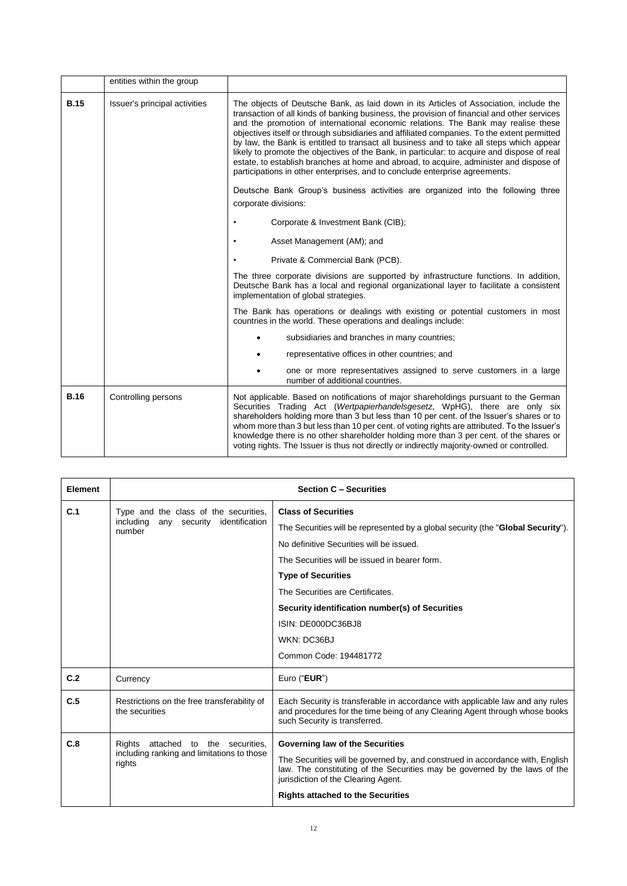|             | entities within the group     |                                                                                                                                                                                                                                                                                                                                                                                                                                                                                                                                                                                                                                                                                                                                                |  |
|-------------|-------------------------------|------------------------------------------------------------------------------------------------------------------------------------------------------------------------------------------------------------------------------------------------------------------------------------------------------------------------------------------------------------------------------------------------------------------------------------------------------------------------------------------------------------------------------------------------------------------------------------------------------------------------------------------------------------------------------------------------------------------------------------------------|--|
| <b>B.15</b> | Issuer's principal activities | The objects of Deutsche Bank, as laid down in its Articles of Association, include the<br>transaction of all kinds of banking business, the provision of financial and other services<br>and the promotion of international economic relations. The Bank may realise these<br>objectives itself or through subsidiaries and affiliated companies. To the extent permitted<br>by law, the Bank is entitled to transact all business and to take all steps which appear<br>likely to promote the objectives of the Bank, in particular: to acquire and dispose of real<br>estate, to establish branches at home and abroad, to acquire, administer and dispose of<br>participations in other enterprises, and to conclude enterprise agreements. |  |
|             |                               | Deutsche Bank Group's business activities are organized into the following three<br>corporate divisions:                                                                                                                                                                                                                                                                                                                                                                                                                                                                                                                                                                                                                                       |  |
|             |                               | Corporate & Investment Bank (CIB);                                                                                                                                                                                                                                                                                                                                                                                                                                                                                                                                                                                                                                                                                                             |  |
|             |                               | Asset Management (AM); and                                                                                                                                                                                                                                                                                                                                                                                                                                                                                                                                                                                                                                                                                                                     |  |
|             |                               | Private & Commercial Bank (PCB).                                                                                                                                                                                                                                                                                                                                                                                                                                                                                                                                                                                                                                                                                                               |  |
|             |                               | The three corporate divisions are supported by infrastructure functions. In addition,<br>Deutsche Bank has a local and regional organizational layer to facilitate a consistent<br>implementation of global strategies.                                                                                                                                                                                                                                                                                                                                                                                                                                                                                                                        |  |
|             |                               | The Bank has operations or dealings with existing or potential customers in most<br>countries in the world. These operations and dealings include:                                                                                                                                                                                                                                                                                                                                                                                                                                                                                                                                                                                             |  |
|             |                               | subsidiaries and branches in many countries;                                                                                                                                                                                                                                                                                                                                                                                                                                                                                                                                                                                                                                                                                                   |  |
|             |                               | representative offices in other countries; and                                                                                                                                                                                                                                                                                                                                                                                                                                                                                                                                                                                                                                                                                                 |  |
|             |                               | one or more representatives assigned to serve customers in a large<br>number of additional countries.                                                                                                                                                                                                                                                                                                                                                                                                                                                                                                                                                                                                                                          |  |
| <b>B.16</b> | Controlling persons           | Not applicable. Based on notifications of major shareholdings pursuant to the German<br>Securities Trading Act (Wertpapierhandelsgesetz, WpHG), there are only six<br>shareholders holding more than 3 but less than 10 per cent. of the Issuer's shares or to<br>whom more than 3 but less than 10 per cent. of voting rights are attributed. To the Issuer's<br>knowledge there is no other shareholder holding more than 3 per cent. of the shares or<br>voting rights. The Issuer is thus not directly or indirectly majority-owned or controlled.                                                                                                                                                                                         |  |

| Element |                                                                                                | <b>Section C - Securities</b>                                                                                                                                                                                                                                                                                                                                  |
|---------|------------------------------------------------------------------------------------------------|----------------------------------------------------------------------------------------------------------------------------------------------------------------------------------------------------------------------------------------------------------------------------------------------------------------------------------------------------------------|
| C.1     | Type and the class of the securities,<br>including<br>any security<br>identification<br>number | <b>Class of Securities</b><br>The Securities will be represented by a global security (the " <b>Global Security</b> ").<br>No definitive Securities will be issued.<br>The Securities will be issued in bearer form.<br><b>Type of Securities</b><br>The Securities are Certificates.<br>Security identification number(s) of Securities<br>ISIN: DE000DC36BJ8 |
|         |                                                                                                | WKN: DC36BJ<br>Common Code: 194481772                                                                                                                                                                                                                                                                                                                          |
| C.2     | Currency                                                                                       | Euro ("EUR")                                                                                                                                                                                                                                                                                                                                                   |
| C.5     | Restrictions on the free transferability of<br>the securities                                  | Each Security is transferable in accordance with applicable law and any rules<br>and procedures for the time being of any Clearing Agent through whose books<br>such Security is transferred.                                                                                                                                                                  |
| C.8     | attached to the securities,<br>Rights<br>including ranking and limitations to those<br>rights  | Governing law of the Securities<br>The Securities will be governed by, and construed in accordance with, English<br>law. The constituting of the Securities may be governed by the laws of the<br>jurisdiction of the Clearing Agent.<br><b>Rights attached to the Securities</b>                                                                              |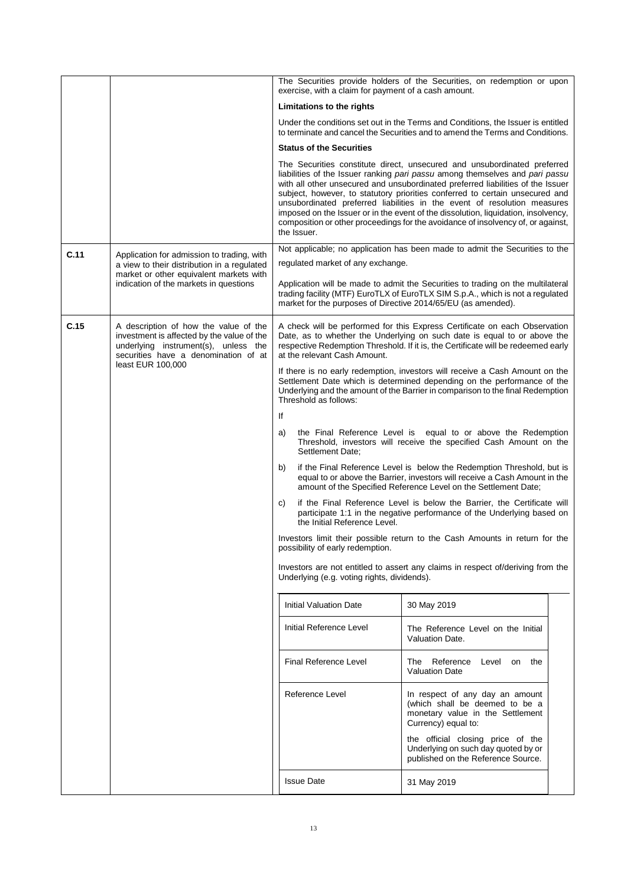|      |                                                                                                                                                                                          |                                                                                                                                                                                                                                                                             |                                                                             | The Securities provide holders of the Securities, on redemption or upon<br>exercise, with a claim for payment of a cash amount.                                                                                                                                                                                                                                                                                                                                                                                                                                                   |  |
|------|------------------------------------------------------------------------------------------------------------------------------------------------------------------------------------------|-----------------------------------------------------------------------------------------------------------------------------------------------------------------------------------------------------------------------------------------------------------------------------|-----------------------------------------------------------------------------|-----------------------------------------------------------------------------------------------------------------------------------------------------------------------------------------------------------------------------------------------------------------------------------------------------------------------------------------------------------------------------------------------------------------------------------------------------------------------------------------------------------------------------------------------------------------------------------|--|
|      |                                                                                                                                                                                          | Limitations to the rights                                                                                                                                                                                                                                                   |                                                                             |                                                                                                                                                                                                                                                                                                                                                                                                                                                                                                                                                                                   |  |
|      |                                                                                                                                                                                          | Under the conditions set out in the Terms and Conditions, the Issuer is entitled<br>to terminate and cancel the Securities and to amend the Terms and Conditions.                                                                                                           |                                                                             |                                                                                                                                                                                                                                                                                                                                                                                                                                                                                                                                                                                   |  |
|      |                                                                                                                                                                                          | <b>Status of the Securities</b>                                                                                                                                                                                                                                             |                                                                             |                                                                                                                                                                                                                                                                                                                                                                                                                                                                                                                                                                                   |  |
|      |                                                                                                                                                                                          | the Issuer.                                                                                                                                                                                                                                                                 |                                                                             | The Securities constitute direct, unsecured and unsubordinated preferred<br>liabilities of the Issuer ranking pari passu among themselves and pari passu<br>with all other unsecured and unsubordinated preferred liabilities of the Issuer<br>subject, however, to statutory priorities conferred to certain unsecured and<br>unsubordinated preferred liabilities in the event of resolution measures<br>imposed on the Issuer or in the event of the dissolution, liquidation, insolvency,<br>composition or other proceedings for the avoidance of insolvency of, or against, |  |
| C.11 | Application for admission to trading, with                                                                                                                                               | Not applicable; no application has been made to admit the Securities to the                                                                                                                                                                                                 |                                                                             |                                                                                                                                                                                                                                                                                                                                                                                                                                                                                                                                                                                   |  |
|      | a view to their distribution in a regulated<br>market or other equivalent markets with                                                                                                   |                                                                                                                                                                                                                                                                             | regulated market of any exchange.                                           |                                                                                                                                                                                                                                                                                                                                                                                                                                                                                                                                                                                   |  |
|      | indication of the markets in questions                                                                                                                                                   |                                                                                                                                                                                                                                                                             |                                                                             | Application will be made to admit the Securities to trading on the multilateral<br>trading facility (MTF) EuroTLX of EuroTLX SIM S.p.A., which is not a regulated<br>market for the purposes of Directive 2014/65/EU (as amended).                                                                                                                                                                                                                                                                                                                                                |  |
| C.15 | A description of how the value of the<br>investment is affected by the value of the<br>underlying instrument(s), unless the<br>securities have a denomination of at<br>least EUR 100,000 | A check will be performed for this Express Certificate on each Observation<br>Date, as to whether the Underlying on such date is equal to or above the<br>respective Redemption Threshold. If it is, the Certificate will be redeemed early<br>at the relevant Cash Amount. |                                                                             |                                                                                                                                                                                                                                                                                                                                                                                                                                                                                                                                                                                   |  |
|      |                                                                                                                                                                                          | Threshold as follows:                                                                                                                                                                                                                                                       |                                                                             | If there is no early redemption, investors will receive a Cash Amount on the<br>Settlement Date which is determined depending on the performance of the<br>Underlying and the amount of the Barrier in comparison to the final Redemption                                                                                                                                                                                                                                                                                                                                         |  |
|      |                                                                                                                                                                                          | lf                                                                                                                                                                                                                                                                          |                                                                             |                                                                                                                                                                                                                                                                                                                                                                                                                                                                                                                                                                                   |  |
|      |                                                                                                                                                                                          | a)<br>Settlement Date:                                                                                                                                                                                                                                                      |                                                                             | the Final Reference Level is equal to or above the Redemption<br>Threshold, investors will receive the specified Cash Amount on the                                                                                                                                                                                                                                                                                                                                                                                                                                               |  |
|      |                                                                                                                                                                                          | b)                                                                                                                                                                                                                                                                          |                                                                             | if the Final Reference Level is below the Redemption Threshold, but is<br>equal to or above the Barrier, investors will receive a Cash Amount in the<br>amount of the Specified Reference Level on the Settlement Date;                                                                                                                                                                                                                                                                                                                                                           |  |
|      |                                                                                                                                                                                          | C)                                                                                                                                                                                                                                                                          | the Initial Reference Level.                                                | if the Final Reference Level is below the Barrier, the Certificate will<br>participate 1:1 in the negative performance of the Underlying based on                                                                                                                                                                                                                                                                                                                                                                                                                                 |  |
|      |                                                                                                                                                                                          | possibility of early redemption.                                                                                                                                                                                                                                            | Investors limit their possible return to the Cash Amounts in return for the |                                                                                                                                                                                                                                                                                                                                                                                                                                                                                                                                                                                   |  |
|      |                                                                                                                                                                                          |                                                                                                                                                                                                                                                                             | Underlying (e.g. voting rights, dividends).                                 | Investors are not entitled to assert any claims in respect of/deriving from the                                                                                                                                                                                                                                                                                                                                                                                                                                                                                                   |  |
|      |                                                                                                                                                                                          | Initial Valuation Date                                                                                                                                                                                                                                                      |                                                                             | 30 May 2019                                                                                                                                                                                                                                                                                                                                                                                                                                                                                                                                                                       |  |
|      |                                                                                                                                                                                          | Initial Reference Level                                                                                                                                                                                                                                                     |                                                                             | The Reference Level on the Initial<br>Valuation Date.                                                                                                                                                                                                                                                                                                                                                                                                                                                                                                                             |  |
|      |                                                                                                                                                                                          | <b>Final Reference Level</b>                                                                                                                                                                                                                                                |                                                                             | The Reference Level on the<br><b>Valuation Date</b>                                                                                                                                                                                                                                                                                                                                                                                                                                                                                                                               |  |
|      |                                                                                                                                                                                          | Reference Level                                                                                                                                                                                                                                                             |                                                                             | In respect of any day an amount<br>(which shall be deemed to be a<br>monetary value in the Settlement<br>Currency) equal to:                                                                                                                                                                                                                                                                                                                                                                                                                                                      |  |
|      |                                                                                                                                                                                          |                                                                                                                                                                                                                                                                             |                                                                             | the official closing price of the<br>Underlying on such day quoted by or<br>published on the Reference Source.                                                                                                                                                                                                                                                                                                                                                                                                                                                                    |  |
|      |                                                                                                                                                                                          | <b>Issue Date</b>                                                                                                                                                                                                                                                           |                                                                             | 31 May 2019                                                                                                                                                                                                                                                                                                                                                                                                                                                                                                                                                                       |  |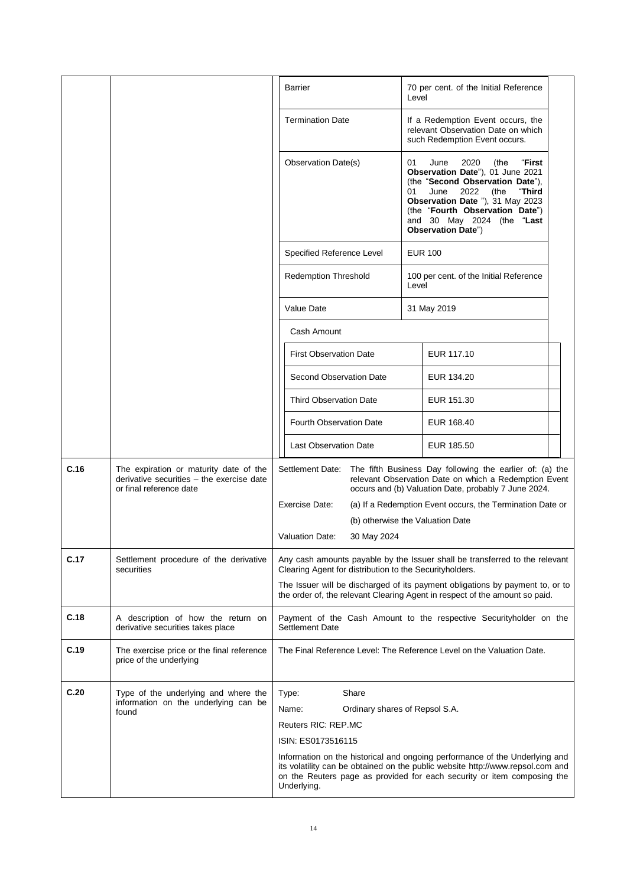|      |                                                                                                                | <b>Barrier</b><br>70 per cent. of the Initial Reference<br>Level                                                                                                                                                                                                                                       |
|------|----------------------------------------------------------------------------------------------------------------|--------------------------------------------------------------------------------------------------------------------------------------------------------------------------------------------------------------------------------------------------------------------------------------------------------|
|      |                                                                                                                | <b>Termination Date</b><br>If a Redemption Event occurs, the<br>relevant Observation Date on which<br>such Redemption Event occurs.                                                                                                                                                                    |
|      |                                                                                                                | 01<br>June<br>2020<br>(the<br>"First<br>Observation Date(s)<br>Observation Date"), 01 June 2021<br>(the "Second Observation Date"),<br>June<br>2022<br>(the<br>"Third<br>01<br>Observation Date "), 31 May 2023<br>(the "Fourth Observation Date")<br>and 30 May 2024 (the "Last<br>Observation Date") |
|      |                                                                                                                | <b>EUR 100</b><br>Specified Reference Level                                                                                                                                                                                                                                                            |
|      |                                                                                                                | <b>Redemption Threshold</b><br>100 per cent. of the Initial Reference<br>Level                                                                                                                                                                                                                         |
|      |                                                                                                                | Value Date<br>31 May 2019                                                                                                                                                                                                                                                                              |
|      |                                                                                                                | Cash Amount                                                                                                                                                                                                                                                                                            |
|      |                                                                                                                | EUR 117.10<br><b>First Observation Date</b>                                                                                                                                                                                                                                                            |
|      |                                                                                                                | Second Observation Date<br>EUR 134.20                                                                                                                                                                                                                                                                  |
|      |                                                                                                                | <b>Third Observation Date</b><br>EUR 151.30                                                                                                                                                                                                                                                            |
|      |                                                                                                                | <b>Fourth Observation Date</b><br>EUR 168.40                                                                                                                                                                                                                                                           |
|      |                                                                                                                | <b>Last Observation Date</b><br>EUR 185.50                                                                                                                                                                                                                                                             |
| C.16 | The expiration or maturity date of the<br>derivative securities - the exercise date<br>or final reference date | Settlement Date:<br>The fifth Business Day following the earlier of: (a) the<br>relevant Observation Date on which a Redemption Event<br>occurs and (b) Valuation Date, probably 7 June 2024.                                                                                                          |
|      |                                                                                                                | Exercise Date:<br>(a) If a Redemption Event occurs, the Termination Date or                                                                                                                                                                                                                            |
|      |                                                                                                                | (b) otherwise the Valuation Date<br><b>Valuation Date:</b><br>30 May 2024                                                                                                                                                                                                                              |
|      |                                                                                                                |                                                                                                                                                                                                                                                                                                        |
| C.17 | Settlement procedure of the derivative<br>securities                                                           | Any cash amounts payable by the Issuer shall be transferred to the relevant<br>Clearing Agent for distribution to the Securityholders.                                                                                                                                                                 |
|      |                                                                                                                | The Issuer will be discharged of its payment obligations by payment to, or to<br>the order of, the relevant Clearing Agent in respect of the amount so paid.                                                                                                                                           |
| C.18 | A description of how the return on<br>derivative securities takes place                                        | Payment of the Cash Amount to the respective Securityholder on the<br><b>Settlement Date</b>                                                                                                                                                                                                           |
| C.19 | The exercise price or the final reference<br>price of the underlying                                           | The Final Reference Level: The Reference Level on the Valuation Date.                                                                                                                                                                                                                                  |
| C.20 | Type of the underlying and where the                                                                           | Share<br>Type:                                                                                                                                                                                                                                                                                         |
|      | information on the underlying can be<br>found                                                                  | Name:<br>Ordinary shares of Repsol S.A.                                                                                                                                                                                                                                                                |
|      |                                                                                                                | Reuters RIC: REP.MC                                                                                                                                                                                                                                                                                    |
|      |                                                                                                                | ISIN: ES0173516115                                                                                                                                                                                                                                                                                     |
|      |                                                                                                                | Information on the historical and ongoing performance of the Underlying and<br>its volatility can be obtained on the public website http://www.repsol.com and<br>on the Reuters page as provided for each security or item composing the<br>Underlying.                                                |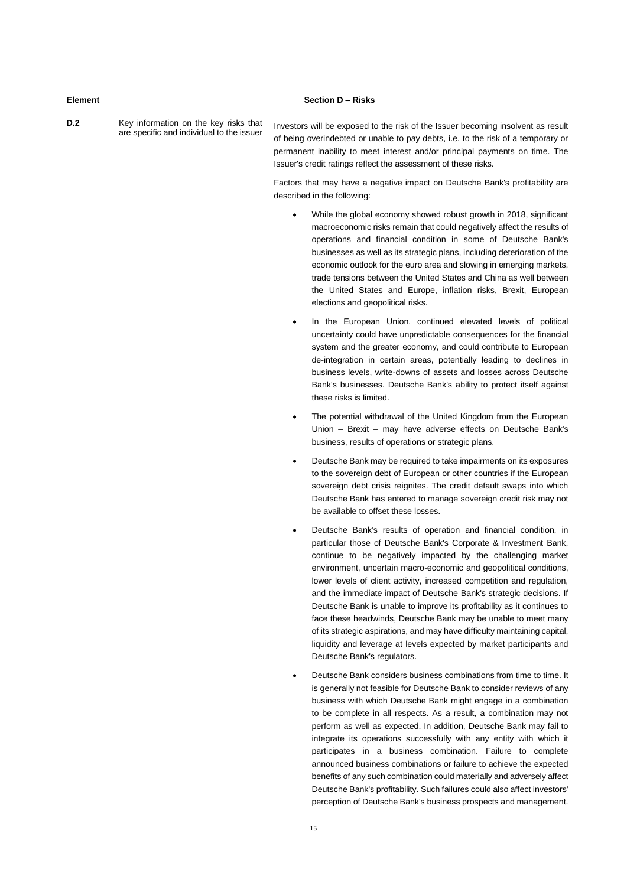| <b>Element</b> |                                                                                    | <b>Section D - Risks</b>                                                                                                                                                                                                                                                                                                                                                                                                                                                                                                                                                                                                                                                                                                                                                                             |  |  |
|----------------|------------------------------------------------------------------------------------|------------------------------------------------------------------------------------------------------------------------------------------------------------------------------------------------------------------------------------------------------------------------------------------------------------------------------------------------------------------------------------------------------------------------------------------------------------------------------------------------------------------------------------------------------------------------------------------------------------------------------------------------------------------------------------------------------------------------------------------------------------------------------------------------------|--|--|
| <b>D.2</b>     | Key information on the key risks that<br>are specific and individual to the issuer | Investors will be exposed to the risk of the Issuer becoming insolvent as result<br>of being overindebted or unable to pay debts, i.e. to the risk of a temporary or<br>permanent inability to meet interest and/or principal payments on time. The<br>Issuer's credit ratings reflect the assessment of these risks.                                                                                                                                                                                                                                                                                                                                                                                                                                                                                |  |  |
|                |                                                                                    | Factors that may have a negative impact on Deutsche Bank's profitability are<br>described in the following:                                                                                                                                                                                                                                                                                                                                                                                                                                                                                                                                                                                                                                                                                          |  |  |
|                |                                                                                    | While the global economy showed robust growth in 2018, significant<br>macroeconomic risks remain that could negatively affect the results of<br>operations and financial condition in some of Deutsche Bank's<br>businesses as well as its strategic plans, including deterioration of the<br>economic outlook for the euro area and slowing in emerging markets,<br>trade tensions between the United States and China as well between<br>the United States and Europe, inflation risks, Brexit, European<br>elections and geopolitical risks.                                                                                                                                                                                                                                                      |  |  |
|                |                                                                                    | In the European Union, continued elevated levels of political<br>uncertainty could have unpredictable consequences for the financial<br>system and the greater economy, and could contribute to European<br>de-integration in certain areas, potentially leading to declines in<br>business levels, write-downs of assets and losses across Deutsche<br>Bank's businesses. Deutsche Bank's ability to protect itself against<br>these risks is limited.                                                                                                                                                                                                                                                                                                                                              |  |  |
|                |                                                                                    | The potential withdrawal of the United Kingdom from the European<br>Union - Brexit - may have adverse effects on Deutsche Bank's<br>business, results of operations or strategic plans.                                                                                                                                                                                                                                                                                                                                                                                                                                                                                                                                                                                                              |  |  |
|                |                                                                                    | Deutsche Bank may be required to take impairments on its exposures<br>to the sovereign debt of European or other countries if the European<br>sovereign debt crisis reignites. The credit default swaps into which<br>Deutsche Bank has entered to manage sovereign credit risk may not<br>be available to offset these losses.                                                                                                                                                                                                                                                                                                                                                                                                                                                                      |  |  |
|                |                                                                                    | Deutsche Bank's results of operation and financial condition, in<br>particular those of Deutsche Bank's Corporate & Investment Bank,<br>continue to be negatively impacted by the challenging market<br>environment, uncertain macro-economic and geopolitical conditions,<br>lower levels of client activity, increased competition and regulation,<br>and the immediate impact of Deutsche Bank's strategic decisions. If<br>Deutsche Bank is unable to improve its profitability as it continues to<br>face these headwinds, Deutsche Bank may be unable to meet many<br>of its strategic aspirations, and may have difficulty maintaining capital,<br>liquidity and leverage at levels expected by market participants and<br>Deutsche Bank's regulators.                                        |  |  |
|                |                                                                                    | Deutsche Bank considers business combinations from time to time. It<br>is generally not feasible for Deutsche Bank to consider reviews of any<br>business with which Deutsche Bank might engage in a combination<br>to be complete in all respects. As a result, a combination may not<br>perform as well as expected. In addition, Deutsche Bank may fail to<br>integrate its operations successfully with any entity with which it<br>participates in a business combination. Failure to complete<br>announced business combinations or failure to achieve the expected<br>benefits of any such combination could materially and adversely affect<br>Deutsche Bank's profitability. Such failures could also affect investors'<br>perception of Deutsche Bank's business prospects and management. |  |  |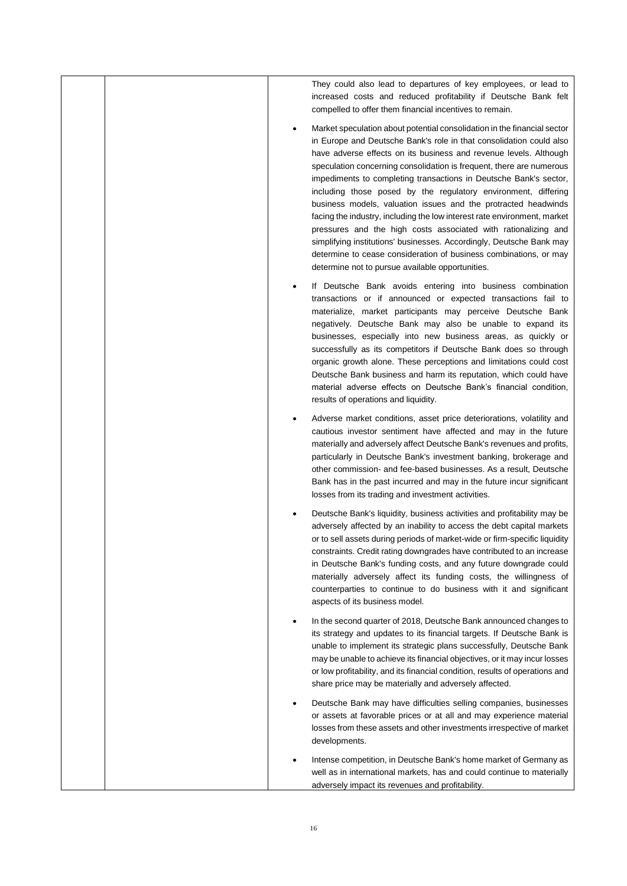|  | They could also lead to departures of key employees, or lead to<br>increased costs and reduced profitability if Deutsche Bank felt<br>compelled to offer them financial incentives to remain.                                                                                                                                                                                                                                                                                                                                                                                                                                                                                                                                                                                                                                                        |
|--|------------------------------------------------------------------------------------------------------------------------------------------------------------------------------------------------------------------------------------------------------------------------------------------------------------------------------------------------------------------------------------------------------------------------------------------------------------------------------------------------------------------------------------------------------------------------------------------------------------------------------------------------------------------------------------------------------------------------------------------------------------------------------------------------------------------------------------------------------|
|  | Market speculation about potential consolidation in the financial sector<br>in Europe and Deutsche Bank's role in that consolidation could also<br>have adverse effects on its business and revenue levels. Although<br>speculation concerning consolidation is frequent, there are numerous<br>impediments to completing transactions in Deutsche Bank's sector,<br>including those posed by the regulatory environment, differing<br>business models, valuation issues and the protracted headwinds<br>facing the industry, including the low interest rate environment, market<br>pressures and the high costs associated with rationalizing and<br>simplifying institutions' businesses. Accordingly, Deutsche Bank may<br>determine to cease consideration of business combinations, or may<br>determine not to pursue available opportunities. |
|  | If Deutsche Bank avoids entering into business combination<br>transactions or if announced or expected transactions fail to<br>materialize, market participants may perceive Deutsche Bank<br>negatively. Deutsche Bank may also be unable to expand its<br>businesses, especially into new business areas, as quickly or<br>successfully as its competitors if Deutsche Bank does so through<br>organic growth alone. These perceptions and limitations could cost<br>Deutsche Bank business and harm its reputation, which could have<br>material adverse effects on Deutsche Bank's financial condition,<br>results of operations and liquidity.                                                                                                                                                                                                  |
|  | Adverse market conditions, asset price deteriorations, volatility and<br>cautious investor sentiment have affected and may in the future<br>materially and adversely affect Deutsche Bank's revenues and profits,<br>particularly in Deutsche Bank's investment banking, brokerage and<br>other commission- and fee-based businesses. As a result, Deutsche<br>Bank has in the past incurred and may in the future incur significant<br>losses from its trading and investment activities.                                                                                                                                                                                                                                                                                                                                                           |
|  | Deutsche Bank's liquidity, business activities and profitability may be<br>adversely affected by an inability to access the debt capital markets<br>or to sell assets during periods of market-wide or firm-specific liquidity<br>constraints. Credit rating downgrades have contributed to an increase<br>in Deutsche Bank's funding costs, and any future downgrade could<br>materially adversely affect its funding costs, the willingness of<br>counterparties to continue to do business with it and significant<br>aspects of its business model.                                                                                                                                                                                                                                                                                              |
|  | In the second quarter of 2018, Deutsche Bank announced changes to<br>its strategy and updates to its financial targets. If Deutsche Bank is<br>unable to implement its strategic plans successfully, Deutsche Bank<br>may be unable to achieve its financial objectives, or it may incur losses<br>or low profitability, and its financial condition, results of operations and<br>share price may be materially and adversely affected.                                                                                                                                                                                                                                                                                                                                                                                                             |
|  | Deutsche Bank may have difficulties selling companies, businesses<br>or assets at favorable prices or at all and may experience material<br>losses from these assets and other investments irrespective of market<br>developments.                                                                                                                                                                                                                                                                                                                                                                                                                                                                                                                                                                                                                   |
|  | Intense competition, in Deutsche Bank's home market of Germany as<br>well as in international markets, has and could continue to materially<br>adversely impact its revenues and profitability.                                                                                                                                                                                                                                                                                                                                                                                                                                                                                                                                                                                                                                                      |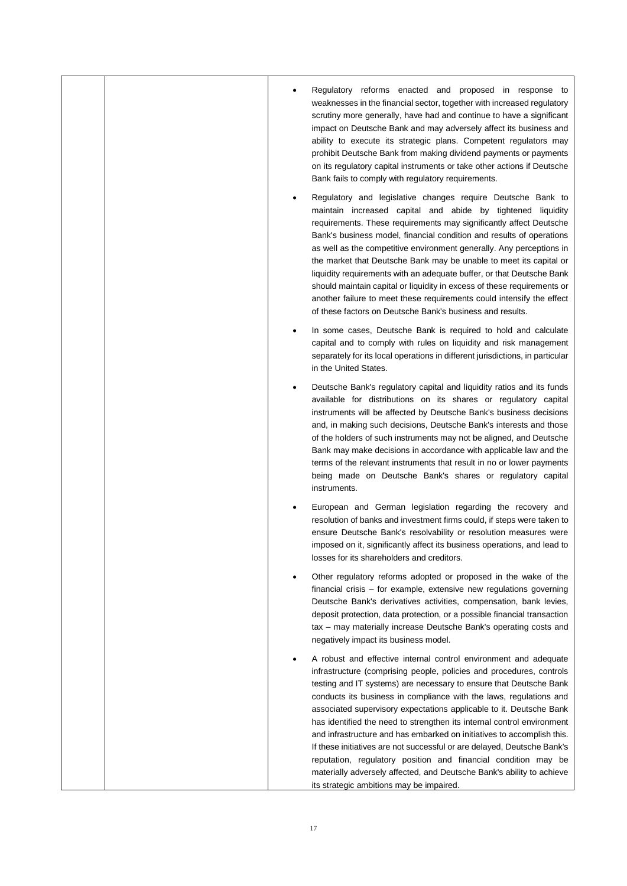|  | Regulatory reforms enacted and proposed in response to<br>weaknesses in the financial sector, together with increased regulatory<br>scrutiny more generally, have had and continue to have a significant<br>impact on Deutsche Bank and may adversely affect its business and<br>ability to execute its strategic plans. Competent regulators may<br>prohibit Deutsche Bank from making dividend payments or payments<br>on its regulatory capital instruments or take other actions if Deutsche<br>Bank fails to comply with regulatory requirements.                                                                                                                                                                                                                            |
|--|-----------------------------------------------------------------------------------------------------------------------------------------------------------------------------------------------------------------------------------------------------------------------------------------------------------------------------------------------------------------------------------------------------------------------------------------------------------------------------------------------------------------------------------------------------------------------------------------------------------------------------------------------------------------------------------------------------------------------------------------------------------------------------------|
|  | Regulatory and legislative changes require Deutsche Bank to<br>maintain increased capital and abide by tightened liquidity<br>requirements. These requirements may significantly affect Deutsche<br>Bank's business model, financial condition and results of operations<br>as well as the competitive environment generally. Any perceptions in<br>the market that Deutsche Bank may be unable to meet its capital or<br>liquidity requirements with an adequate buffer, or that Deutsche Bank<br>should maintain capital or liquidity in excess of these requirements or<br>another failure to meet these requirements could intensify the effect<br>of these factors on Deutsche Bank's business and results.                                                                  |
|  | In some cases, Deutsche Bank is required to hold and calculate<br>capital and to comply with rules on liquidity and risk management<br>separately for its local operations in different jurisdictions, in particular<br>in the United States.                                                                                                                                                                                                                                                                                                                                                                                                                                                                                                                                     |
|  | Deutsche Bank's regulatory capital and liquidity ratios and its funds<br>available for distributions on its shares or regulatory capital<br>instruments will be affected by Deutsche Bank's business decisions<br>and, in making such decisions, Deutsche Bank's interests and those<br>of the holders of such instruments may not be aligned, and Deutsche<br>Bank may make decisions in accordance with applicable law and the<br>terms of the relevant instruments that result in no or lower payments<br>being made on Deutsche Bank's shares or regulatory capital<br>instruments.                                                                                                                                                                                           |
|  | European and German legislation regarding the recovery and<br>resolution of banks and investment firms could, if steps were taken to<br>ensure Deutsche Bank's resolvability or resolution measures were<br>imposed on it, significantly affect its business operations, and lead to<br>losses for its shareholders and creditors.                                                                                                                                                                                                                                                                                                                                                                                                                                                |
|  | Other regulatory reforms adopted or proposed in the wake of the<br>financial crisis – for example, extensive new regulations governing<br>Deutsche Bank's derivatives activities, compensation, bank levies,<br>deposit protection, data protection, or a possible financial transaction<br>tax - may materially increase Deutsche Bank's operating costs and<br>negatively impact its business model.                                                                                                                                                                                                                                                                                                                                                                            |
|  | A robust and effective internal control environment and adequate<br>infrastructure (comprising people, policies and procedures, controls<br>testing and IT systems) are necessary to ensure that Deutsche Bank<br>conducts its business in compliance with the laws, regulations and<br>associated supervisory expectations applicable to it. Deutsche Bank<br>has identified the need to strengthen its internal control environment<br>and infrastructure and has embarked on initiatives to accomplish this.<br>If these initiatives are not successful or are delayed, Deutsche Bank's<br>reputation, regulatory position and financial condition may be<br>materially adversely affected, and Deutsche Bank's ability to achieve<br>its strategic ambitions may be impaired. |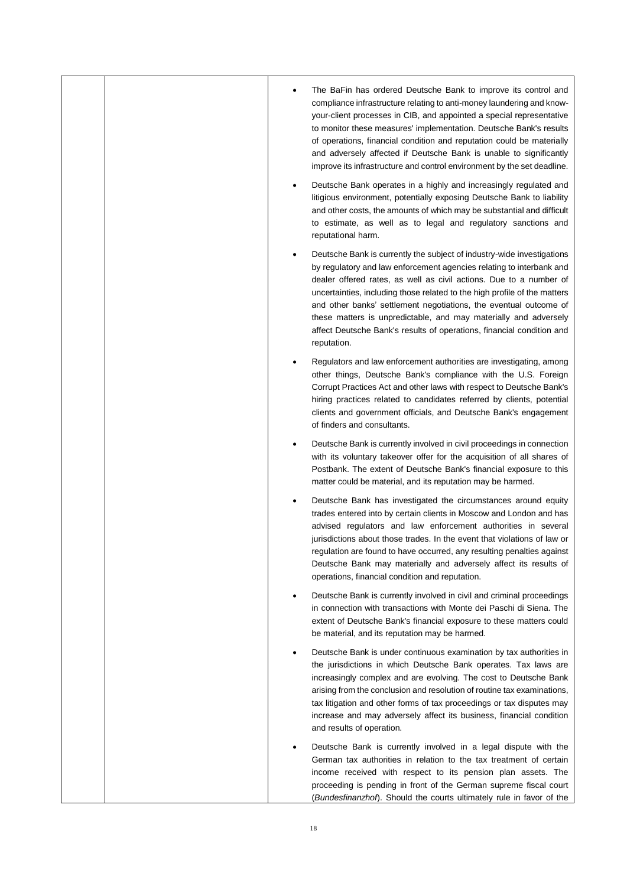|  | The BaFin has ordered Deutsche Bank to improve its control and<br>compliance infrastructure relating to anti-money laundering and know-<br>your-client processes in CIB, and appointed a special representative<br>to monitor these measures' implementation. Deutsche Bank's results<br>of operations, financial condition and reputation could be materially<br>and adversely affected if Deutsche Bank is unable to significantly<br>improve its infrastructure and control environment by the set deadline.                    |
|--|------------------------------------------------------------------------------------------------------------------------------------------------------------------------------------------------------------------------------------------------------------------------------------------------------------------------------------------------------------------------------------------------------------------------------------------------------------------------------------------------------------------------------------|
|  | Deutsche Bank operates in a highly and increasingly regulated and<br>litigious environment, potentially exposing Deutsche Bank to liability<br>and other costs, the amounts of which may be substantial and difficult<br>to estimate, as well as to legal and regulatory sanctions and<br>reputational harm.                                                                                                                                                                                                                       |
|  | Deutsche Bank is currently the subject of industry-wide investigations<br>by regulatory and law enforcement agencies relating to interbank and<br>dealer offered rates, as well as civil actions. Due to a number of<br>uncertainties, including those related to the high profile of the matters<br>and other banks' settlement negotiations, the eventual outcome of<br>these matters is unpredictable, and may materially and adversely<br>affect Deutsche Bank's results of operations, financial condition and<br>reputation. |
|  | Regulators and law enforcement authorities are investigating, among<br>other things, Deutsche Bank's compliance with the U.S. Foreign<br>Corrupt Practices Act and other laws with respect to Deutsche Bank's<br>hiring practices related to candidates referred by clients, potential<br>clients and government officials, and Deutsche Bank's engagement<br>of finders and consultants.                                                                                                                                          |
|  | Deutsche Bank is currently involved in civil proceedings in connection<br>with its voluntary takeover offer for the acquisition of all shares of<br>Postbank. The extent of Deutsche Bank's financial exposure to this<br>matter could be material, and its reputation may be harmed.                                                                                                                                                                                                                                              |
|  | Deutsche Bank has investigated the circumstances around equity<br>trades entered into by certain clients in Moscow and London and has<br>advised regulators and law enforcement authorities in several<br>jurisdictions about those trades. In the event that violations of law or<br>regulation are found to have occurred, any resulting penalties against<br>Deutsche Bank may materially and adversely affect its results of<br>operations, financial condition and reputation.                                                |
|  | Deutsche Bank is currently involved in civil and criminal proceedings<br>in connection with transactions with Monte dei Paschi di Siena. The<br>extent of Deutsche Bank's financial exposure to these matters could<br>be material, and its reputation may be harmed.                                                                                                                                                                                                                                                              |
|  | Deutsche Bank is under continuous examination by tax authorities in<br>the jurisdictions in which Deutsche Bank operates. Tax laws are<br>increasingly complex and are evolving. The cost to Deutsche Bank<br>arising from the conclusion and resolution of routine tax examinations,<br>tax litigation and other forms of tax proceedings or tax disputes may<br>increase and may adversely affect its business, financial condition<br>and results of operation.                                                                 |
|  | Deutsche Bank is currently involved in a legal dispute with the<br>German tax authorities in relation to the tax treatment of certain<br>income received with respect to its pension plan assets. The<br>proceeding is pending in front of the German supreme fiscal court<br>(Bundesfinanzhof). Should the courts ultimately rule in favor of the                                                                                                                                                                                 |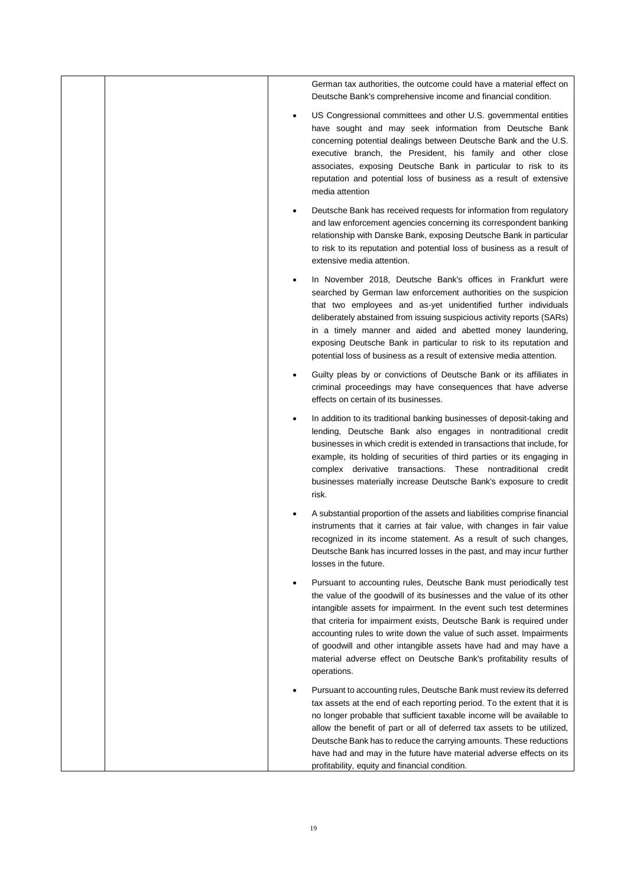|  | German tax authorities, the outcome could have a material effect on<br>Deutsche Bank's comprehensive income and financial condition.                                                                                                                                                                                                                                                                                                                                                                                        |
|--|-----------------------------------------------------------------------------------------------------------------------------------------------------------------------------------------------------------------------------------------------------------------------------------------------------------------------------------------------------------------------------------------------------------------------------------------------------------------------------------------------------------------------------|
|  | US Congressional committees and other U.S. governmental entities<br>have sought and may seek information from Deutsche Bank<br>concerning potential dealings between Deutsche Bank and the U.S.<br>executive branch, the President, his family and other close<br>associates, exposing Deutsche Bank in particular to risk to its<br>reputation and potential loss of business as a result of extensive<br>media attention                                                                                                  |
|  | Deutsche Bank has received requests for information from regulatory<br>and law enforcement agencies concerning its correspondent banking<br>relationship with Danske Bank, exposing Deutsche Bank in particular<br>to risk to its reputation and potential loss of business as a result of<br>extensive media attention.                                                                                                                                                                                                    |
|  | In November 2018, Deutsche Bank's offices in Frankfurt were<br>searched by German law enforcement authorities on the suspicion<br>that two employees and as-yet unidentified further individuals<br>deliberately abstained from issuing suspicious activity reports (SARs)<br>in a timely manner and aided and abetted money laundering,<br>exposing Deutsche Bank in particular to risk to its reputation and<br>potential loss of business as a result of extensive media attention.                                      |
|  | Guilty pleas by or convictions of Deutsche Bank or its affiliates in<br>criminal proceedings may have consequences that have adverse<br>effects on certain of its businesses.                                                                                                                                                                                                                                                                                                                                               |
|  | In addition to its traditional banking businesses of deposit-taking and<br>lending, Deutsche Bank also engages in nontraditional credit<br>businesses in which credit is extended in transactions that include, for<br>example, its holding of securities of third parties or its engaging in<br>complex derivative transactions. These nontraditional credit<br>businesses materially increase Deutsche Bank's exposure to credit<br>risk.                                                                                 |
|  | A substantial proportion of the assets and liabilities comprise financial<br>instruments that it carries at fair value, with changes in fair value<br>recognized in its income statement. As a result of such changes,<br>Deutsche Bank has incurred losses in the past, and may incur further<br>losses in the future.                                                                                                                                                                                                     |
|  | Pursuant to accounting rules, Deutsche Bank must periodically test<br>the value of the goodwill of its businesses and the value of its other<br>intangible assets for impairment. In the event such test determines<br>that criteria for impairment exists, Deutsche Bank is required under<br>accounting rules to write down the value of such asset. Impairments<br>of goodwill and other intangible assets have had and may have a<br>material adverse effect on Deutsche Bank's profitability results of<br>operations. |
|  | Pursuant to accounting rules, Deutsche Bank must review its deferred<br>tax assets at the end of each reporting period. To the extent that it is<br>no longer probable that sufficient taxable income will be available to<br>allow the benefit of part or all of deferred tax assets to be utilized,<br>Deutsche Bank has to reduce the carrying amounts. These reductions<br>have had and may in the future have material adverse effects on its<br>profitability, equity and financial condition.                        |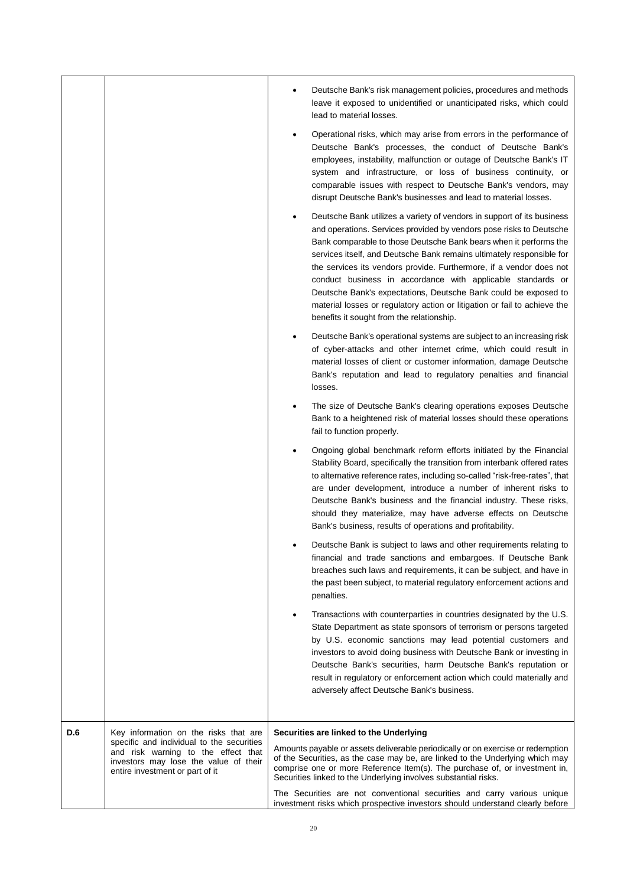|     |                                                                                                                                                              | Deutsche Bank's risk management policies, procedures and methods<br>leave it exposed to unidentified or unanticipated risks, which could<br>lead to material losses.                                                                                                                                                                                                                                                                                                                                                                                                                                                           |  |
|-----|--------------------------------------------------------------------------------------------------------------------------------------------------------------|--------------------------------------------------------------------------------------------------------------------------------------------------------------------------------------------------------------------------------------------------------------------------------------------------------------------------------------------------------------------------------------------------------------------------------------------------------------------------------------------------------------------------------------------------------------------------------------------------------------------------------|--|
|     |                                                                                                                                                              | Operational risks, which may arise from errors in the performance of<br>Deutsche Bank's processes, the conduct of Deutsche Bank's<br>employees, instability, malfunction or outage of Deutsche Bank's IT<br>system and infrastructure, or loss of business continuity, or<br>comparable issues with respect to Deutsche Bank's vendors, may<br>disrupt Deutsche Bank's businesses and lead to material losses.                                                                                                                                                                                                                 |  |
|     |                                                                                                                                                              | Deutsche Bank utilizes a variety of vendors in support of its business<br>and operations. Services provided by vendors pose risks to Deutsche<br>Bank comparable to those Deutsche Bank bears when it performs the<br>services itself, and Deutsche Bank remains ultimately responsible for<br>the services its vendors provide. Furthermore, if a vendor does not<br>conduct business in accordance with applicable standards or<br>Deutsche Bank's expectations, Deutsche Bank could be exposed to<br>material losses or regulatory action or litigation or fail to achieve the<br>benefits it sought from the relationship. |  |
|     |                                                                                                                                                              | Deutsche Bank's operational systems are subject to an increasing risk<br>of cyber-attacks and other internet crime, which could result in<br>material losses of client or customer information, damage Deutsche<br>Bank's reputation and lead to regulatory penalties and financial<br>losses.                                                                                                                                                                                                                                                                                                                                 |  |
|     |                                                                                                                                                              | The size of Deutsche Bank's clearing operations exposes Deutsche<br>Bank to a heightened risk of material losses should these operations<br>fail to function properly.                                                                                                                                                                                                                                                                                                                                                                                                                                                         |  |
|     |                                                                                                                                                              | Ongoing global benchmark reform efforts initiated by the Financial<br>Stability Board, specifically the transition from interbank offered rates<br>to alternative reference rates, including so-called "risk-free-rates", that<br>are under development, introduce a number of inherent risks to<br>Deutsche Bank's business and the financial industry. These risks,<br>should they materialize, may have adverse effects on Deutsche<br>Bank's business, results of operations and profitability.                                                                                                                            |  |
|     |                                                                                                                                                              | Deutsche Bank is subject to laws and other requirements relating to<br>financial and trade sanctions and embargoes. If Deutsche Bank<br>breaches such laws and requirements, it can be subject, and have in<br>the past been subject, to material regulatory enforcement actions and<br>penalties.                                                                                                                                                                                                                                                                                                                             |  |
|     |                                                                                                                                                              | Transactions with counterparties in countries designated by the U.S.<br>State Department as state sponsors of terrorism or persons targeted<br>by U.S. economic sanctions may lead potential customers and<br>investors to avoid doing business with Deutsche Bank or investing in<br>Deutsche Bank's securities, harm Deutsche Bank's reputation or<br>result in regulatory or enforcement action which could materially and<br>adversely affect Deutsche Bank's business.                                                                                                                                                    |  |
| D.6 | Key information on the risks that are                                                                                                                        | Securities are linked to the Underlying                                                                                                                                                                                                                                                                                                                                                                                                                                                                                                                                                                                        |  |
|     | specific and individual to the securities<br>and risk warning to the effect that<br>investors may lose the value of their<br>entire investment or part of it | Amounts payable or assets deliverable periodically or on exercise or redemption<br>of the Securities, as the case may be, are linked to the Underlying which may<br>comprise one or more Reference Item(s). The purchase of, or investment in,<br>Securities linked to the Underlying involves substantial risks.                                                                                                                                                                                                                                                                                                              |  |
|     |                                                                                                                                                              | The Securities are not conventional securities and carry various unique<br>investment risks which prospective investors should understand clearly before                                                                                                                                                                                                                                                                                                                                                                                                                                                                       |  |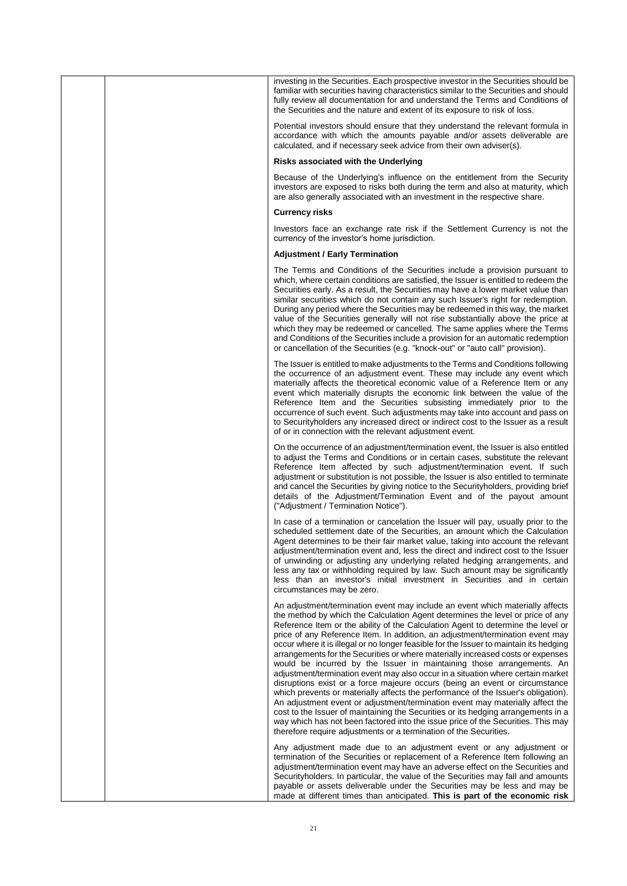|  | investing in the Securities. Each prospective investor in the Securities should be<br>familiar with securities having characteristics similar to the Securities and should<br>fully review all documentation for and understand the Terms and Conditions of<br>the Securities and the nature and extent of its exposure to risk of loss.                                                                                                                                                                                                                                                                                                                                                                                                                                                                                                                                                                                                                                                                                                                                                                                                                                         |
|--|----------------------------------------------------------------------------------------------------------------------------------------------------------------------------------------------------------------------------------------------------------------------------------------------------------------------------------------------------------------------------------------------------------------------------------------------------------------------------------------------------------------------------------------------------------------------------------------------------------------------------------------------------------------------------------------------------------------------------------------------------------------------------------------------------------------------------------------------------------------------------------------------------------------------------------------------------------------------------------------------------------------------------------------------------------------------------------------------------------------------------------------------------------------------------------|
|  | Potential investors should ensure that they understand the relevant formula in<br>accordance with which the amounts payable and/or assets deliverable are<br>calculated, and if necessary seek advice from their own adviser(s).                                                                                                                                                                                                                                                                                                                                                                                                                                                                                                                                                                                                                                                                                                                                                                                                                                                                                                                                                 |
|  | Risks associated with the Underlying                                                                                                                                                                                                                                                                                                                                                                                                                                                                                                                                                                                                                                                                                                                                                                                                                                                                                                                                                                                                                                                                                                                                             |
|  | Because of the Underlying's influence on the entitlement from the Security<br>investors are exposed to risks both during the term and also at maturity, which<br>are also generally associated with an investment in the respective share.                                                                                                                                                                                                                                                                                                                                                                                                                                                                                                                                                                                                                                                                                                                                                                                                                                                                                                                                       |
|  | <b>Currency risks</b>                                                                                                                                                                                                                                                                                                                                                                                                                                                                                                                                                                                                                                                                                                                                                                                                                                                                                                                                                                                                                                                                                                                                                            |
|  | Investors face an exchange rate risk if the Settlement Currency is not the<br>currency of the investor's home jurisdiction.                                                                                                                                                                                                                                                                                                                                                                                                                                                                                                                                                                                                                                                                                                                                                                                                                                                                                                                                                                                                                                                      |
|  | <b>Adjustment / Early Termination</b>                                                                                                                                                                                                                                                                                                                                                                                                                                                                                                                                                                                                                                                                                                                                                                                                                                                                                                                                                                                                                                                                                                                                            |
|  | The Terms and Conditions of the Securities include a provision pursuant to<br>which, where certain conditions are satisfied, the Issuer is entitled to redeem the<br>Securities early. As a result, the Securities may have a lower market value than<br>similar securities which do not contain any such Issuer's right for redemption.<br>During any period where the Securities may be redeemed in this way, the market<br>value of the Securities generally will not rise substantially above the price at<br>which they may be redeemed or cancelled. The same applies where the Terms<br>and Conditions of the Securities include a provision for an automatic redemption<br>or cancellation of the Securities (e.g. "knock-out" or "auto call" provision).                                                                                                                                                                                                                                                                                                                                                                                                                |
|  | The Issuer is entitled to make adjustments to the Terms and Conditions following<br>the occurrence of an adjustment event. These may include any event which<br>materially affects the theoretical economic value of a Reference Item or any<br>event which materially disrupts the economic link between the value of the<br>Reference Item and the Securities subsisting immediately prior to the<br>occurrence of such event. Such adjustments may take into account and pass on<br>to Securityholders any increased direct or indirect cost to the Issuer as a result<br>of or in connection with the relevant adjustment event.                                                                                                                                                                                                                                                                                                                                                                                                                                                                                                                                             |
|  | On the occurrence of an adjustment/termination event, the Issuer is also entitled<br>to adjust the Terms and Conditions or in certain cases, substitute the relevant<br>Reference Item affected by such adjustment/termination event. If such<br>adjustment or substitution is not possible, the Issuer is also entitled to terminate<br>and cancel the Securities by giving notice to the Security holders, providing brief<br>details of the Adjustment/Termination Event and of the payout amount<br>("Adjustment / Termination Notice").                                                                                                                                                                                                                                                                                                                                                                                                                                                                                                                                                                                                                                     |
|  | In case of a termination or cancelation the Issuer will pay, usually prior to the<br>scheduled settlement date of the Securities, an amount which the Calculation<br>Agent determines to be their fair market value, taking into account the relevant<br>adjustment/termination event and, less the direct and indirect cost to the Issuer<br>of unwinding or adjusting any underlying related hedging arrangements, and<br>less any tax or withholding required by law. Such amount may be significantly<br>less than an investor's initial investment in Securities and in certain<br>circumstances may be zero.                                                                                                                                                                                                                                                                                                                                                                                                                                                                                                                                                               |
|  | An adjustment/termination event may include an event which materially affects<br>the method by which the Calculation Agent determines the level or price of any<br>Reference Item or the ability of the Calculation Agent to determine the level or<br>price of any Reference Item. In addition, an adjustment/termination event may<br>occur where it is illegal or no longer feasible for the Issuer to maintain its hedging<br>arrangements for the Securities or where materially increased costs or expenses<br>would be incurred by the Issuer in maintaining those arrangements. An<br>adjustment/termination event may also occur in a situation where certain market<br>disruptions exist or a force majeure occurs (being an event or circumstance<br>which prevents or materially affects the performance of the Issuer's obligation).<br>An adjustment event or adjustment/termination event may materially affect the<br>cost to the Issuer of maintaining the Securities or its hedging arrangements in a<br>way which has not been factored into the issue price of the Securities. This may<br>therefore require adjustments or a termination of the Securities. |
|  | Any adjustment made due to an adjustment event or any adjustment or<br>termination of the Securities or replacement of a Reference Item following an<br>adjustment/termination event may have an adverse effect on the Securities and<br>Securityholders. In particular, the value of the Securities may fall and amounts<br>payable or assets deliverable under the Securities may be less and may be<br>made at different times than anticipated. This is part of the economic risk                                                                                                                                                                                                                                                                                                                                                                                                                                                                                                                                                                                                                                                                                            |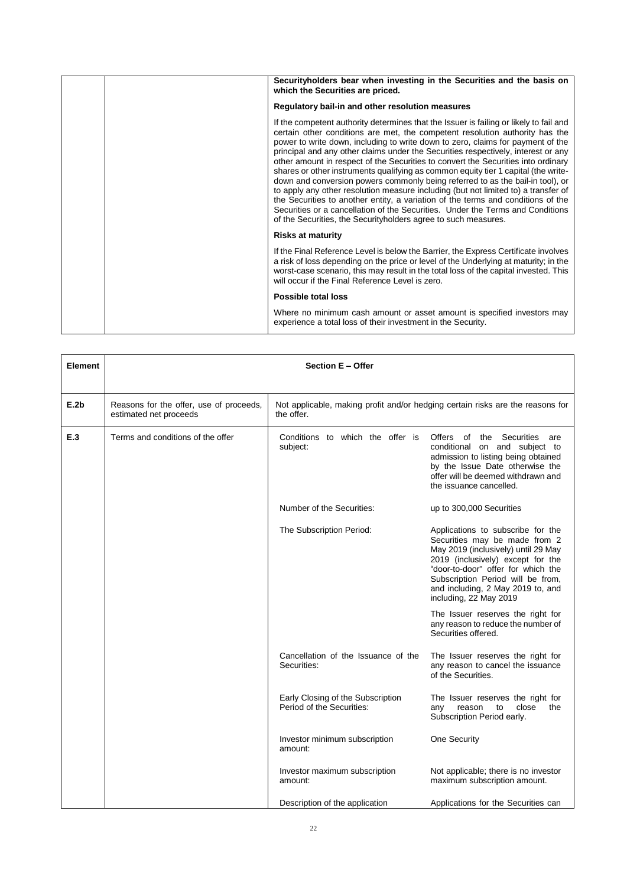|  | Securityholders bear when investing in the Securities and the basis on<br>which the Securities are priced.                                                                                                                                                                                                                                                                                                                                                                                                                                                                                                                                                                                                                                                                                                                                                                                                                                 |
|--|--------------------------------------------------------------------------------------------------------------------------------------------------------------------------------------------------------------------------------------------------------------------------------------------------------------------------------------------------------------------------------------------------------------------------------------------------------------------------------------------------------------------------------------------------------------------------------------------------------------------------------------------------------------------------------------------------------------------------------------------------------------------------------------------------------------------------------------------------------------------------------------------------------------------------------------------|
|  | Regulatory bail-in and other resolution measures                                                                                                                                                                                                                                                                                                                                                                                                                                                                                                                                                                                                                                                                                                                                                                                                                                                                                           |
|  | If the competent authority determines that the Issuer is failing or likely to fail and<br>certain other conditions are met, the competent resolution authority has the<br>power to write down, including to write down to zero, claims for payment of the<br>principal and any other claims under the Securities respectively, interest or any<br>other amount in respect of the Securities to convert the Securities into ordinary<br>shares or other instruments qualifying as common equity tier 1 capital (the write-<br>down and conversion powers commonly being referred to as the bail-in tool), or<br>to apply any other resolution measure including (but not limited to) a transfer of<br>the Securities to another entity, a variation of the terms and conditions of the<br>Securities or a cancellation of the Securities. Under the Terms and Conditions<br>of the Securities, the Security holders agree to such measures. |
|  | <b>Risks at maturity</b>                                                                                                                                                                                                                                                                                                                                                                                                                                                                                                                                                                                                                                                                                                                                                                                                                                                                                                                   |
|  | If the Final Reference Level is below the Barrier, the Express Certificate involves<br>a risk of loss depending on the price or level of the Underlying at maturity; in the<br>worst-case scenario, this may result in the total loss of the capital invested. This<br>will occur if the Final Reference Level is zero.                                                                                                                                                                                                                                                                                                                                                                                                                                                                                                                                                                                                                    |
|  | Possible total loss                                                                                                                                                                                                                                                                                                                                                                                                                                                                                                                                                                                                                                                                                                                                                                                                                                                                                                                        |
|  | Where no minimum cash amount or asset amount is specified investors may<br>experience a total loss of their investment in the Security.                                                                                                                                                                                                                                                                                                                                                                                                                                                                                                                                                                                                                                                                                                                                                                                                    |

| <b>Element</b> | Section E - Offer                                                 |                                                                                              |                                                                                                                                                                                                                                                                                          |  |
|----------------|-------------------------------------------------------------------|----------------------------------------------------------------------------------------------|------------------------------------------------------------------------------------------------------------------------------------------------------------------------------------------------------------------------------------------------------------------------------------------|--|
| E.2b           | Reasons for the offer, use of proceeds,<br>estimated net proceeds | Not applicable, making profit and/or hedging certain risks are the reasons for<br>the offer. |                                                                                                                                                                                                                                                                                          |  |
| E.3            | Terms and conditions of the offer                                 | Conditions to which the offer is<br>subject:                                                 | Securities<br>Offers of the<br>are<br>conditional on and subject to<br>admission to listing being obtained<br>by the Issue Date otherwise the<br>offer will be deemed withdrawn and<br>the issuance cancelled.                                                                           |  |
|                |                                                                   | Number of the Securities:                                                                    | up to 300,000 Securities                                                                                                                                                                                                                                                                 |  |
|                |                                                                   | The Subscription Period:                                                                     | Applications to subscribe for the<br>Securities may be made from 2<br>May 2019 (inclusively) until 29 May<br>2019 (inclusively) except for the<br>"door-to-door" offer for which the<br>Subscription Period will be from,<br>and including, 2 May 2019 to, and<br>including, 22 May 2019 |  |
|                |                                                                   |                                                                                              | The Issuer reserves the right for<br>any reason to reduce the number of<br>Securities offered.                                                                                                                                                                                           |  |
|                |                                                                   | Cancellation of the Issuance of the<br>Securities:                                           | The Issuer reserves the right for<br>any reason to cancel the issuance<br>of the Securities.                                                                                                                                                                                             |  |
|                |                                                                   | Early Closing of the Subscription<br>Period of the Securities:                               | The Issuer reserves the right for<br>close<br>the<br>reason<br>to<br>any<br>Subscription Period early.                                                                                                                                                                                   |  |
|                |                                                                   | Investor minimum subscription<br>amount:                                                     | One Security                                                                                                                                                                                                                                                                             |  |
|                |                                                                   | Investor maximum subscription<br>amount:                                                     | Not applicable; there is no investor<br>maximum subscription amount.                                                                                                                                                                                                                     |  |
|                |                                                                   | Description of the application                                                               | Applications for the Securities can                                                                                                                                                                                                                                                      |  |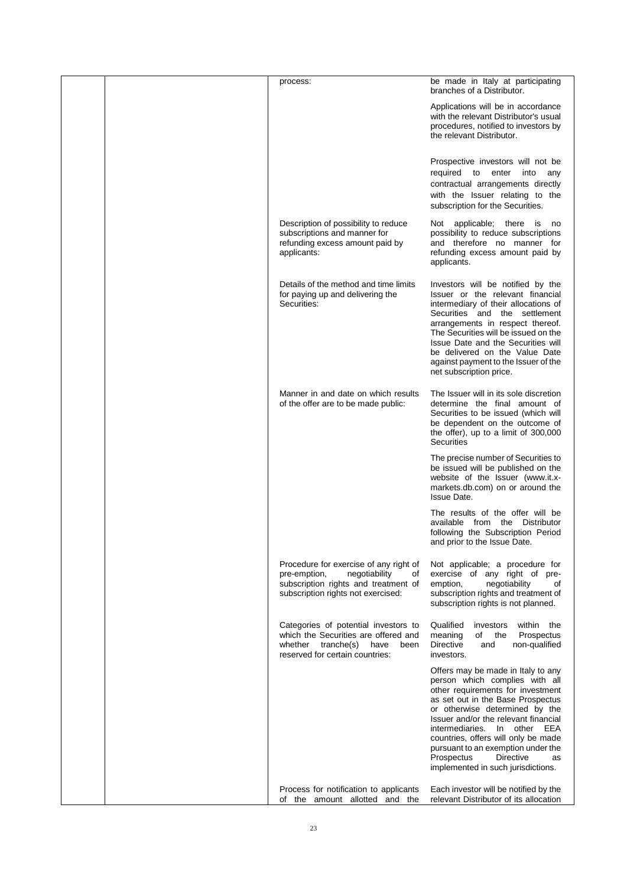|  | process:                                                                                                                                                    | be made in Italy at participating<br>branches of a Distributor.                                                                                                                                                                                                                                                                                                                                                        |
|--|-------------------------------------------------------------------------------------------------------------------------------------------------------------|------------------------------------------------------------------------------------------------------------------------------------------------------------------------------------------------------------------------------------------------------------------------------------------------------------------------------------------------------------------------------------------------------------------------|
|  |                                                                                                                                                             | Applications will be in accordance<br>with the relevant Distributor's usual<br>procedures, notified to investors by<br>the relevant Distributor.                                                                                                                                                                                                                                                                       |
|  |                                                                                                                                                             | Prospective investors will not be<br>required to enter into any<br>contractual arrangements directly<br>with the Issuer relating to the<br>subscription for the Securities.                                                                                                                                                                                                                                            |
|  | Description of possibility to reduce<br>subscriptions and manner for<br>refunding excess amount paid by<br>applicants:                                      | Not applicable; there is no<br>possibility to reduce subscriptions<br>and therefore no manner for<br>refunding excess amount paid by<br>applicants.                                                                                                                                                                                                                                                                    |
|  | Details of the method and time limits<br>for paying up and delivering the<br>Securities:                                                                    | Investors will be notified by the<br>Issuer or the relevant financial<br>intermediary of their allocations of<br>Securities and the settlement<br>arrangements in respect thereof.<br>The Securities will be issued on the<br>Issue Date and the Securities will<br>be delivered on the Value Date<br>against payment to the Issuer of the<br>net subscription price.                                                  |
|  | Manner in and date on which results<br>of the offer are to be made public:                                                                                  | The Issuer will in its sole discretion<br>determine the final amount of<br>Securities to be issued (which will<br>be dependent on the outcome of<br>the offer), up to a limit of 300,000<br><b>Securities</b>                                                                                                                                                                                                          |
|  |                                                                                                                                                             | The precise number of Securities to<br>be issued will be published on the<br>website of the Issuer (www.it.x-<br>markets.db.com) on or around the<br><b>Issue Date.</b>                                                                                                                                                                                                                                                |
|  |                                                                                                                                                             | The results of the offer will be<br>available from the Distributor<br>following the Subscription Period<br>and prior to the Issue Date.                                                                                                                                                                                                                                                                                |
|  | Procedure for exercise of any right of<br>negotiability<br>pre-emption,<br>οf<br>subscription rights and treatment of<br>subscription rights not exercised: | Not applicable; a procedure for<br>exercise of any right of pre-<br>emption,<br>negotiability<br>of<br>subscription rights and treatment of<br>subscription rights is not planned.                                                                                                                                                                                                                                     |
|  | Categories of potential investors to<br>which the Securities are offered and<br>whether tranche(s) have<br>been<br>reserved for certain countries:          | Qualified<br>within the<br>investors<br>Prospectus<br>meaning<br>of the<br><b>Directive</b><br>non-qualified<br>and<br>investors.                                                                                                                                                                                                                                                                                      |
|  |                                                                                                                                                             | Offers may be made in Italy to any<br>person which complies with all<br>other requirements for investment<br>as set out in the Base Prospectus<br>or otherwise determined by the<br>Issuer and/or the relevant financial<br>intermediaries.<br>In other EEA<br>countries, offers will only be made<br>pursuant to an exemption under the<br>Prospectus<br><b>Directive</b><br>as<br>implemented in such jurisdictions. |
|  | Process for notification to applicants<br>of the amount allotted and the                                                                                    | Each investor will be notified by the<br>relevant Distributor of its allocation                                                                                                                                                                                                                                                                                                                                        |